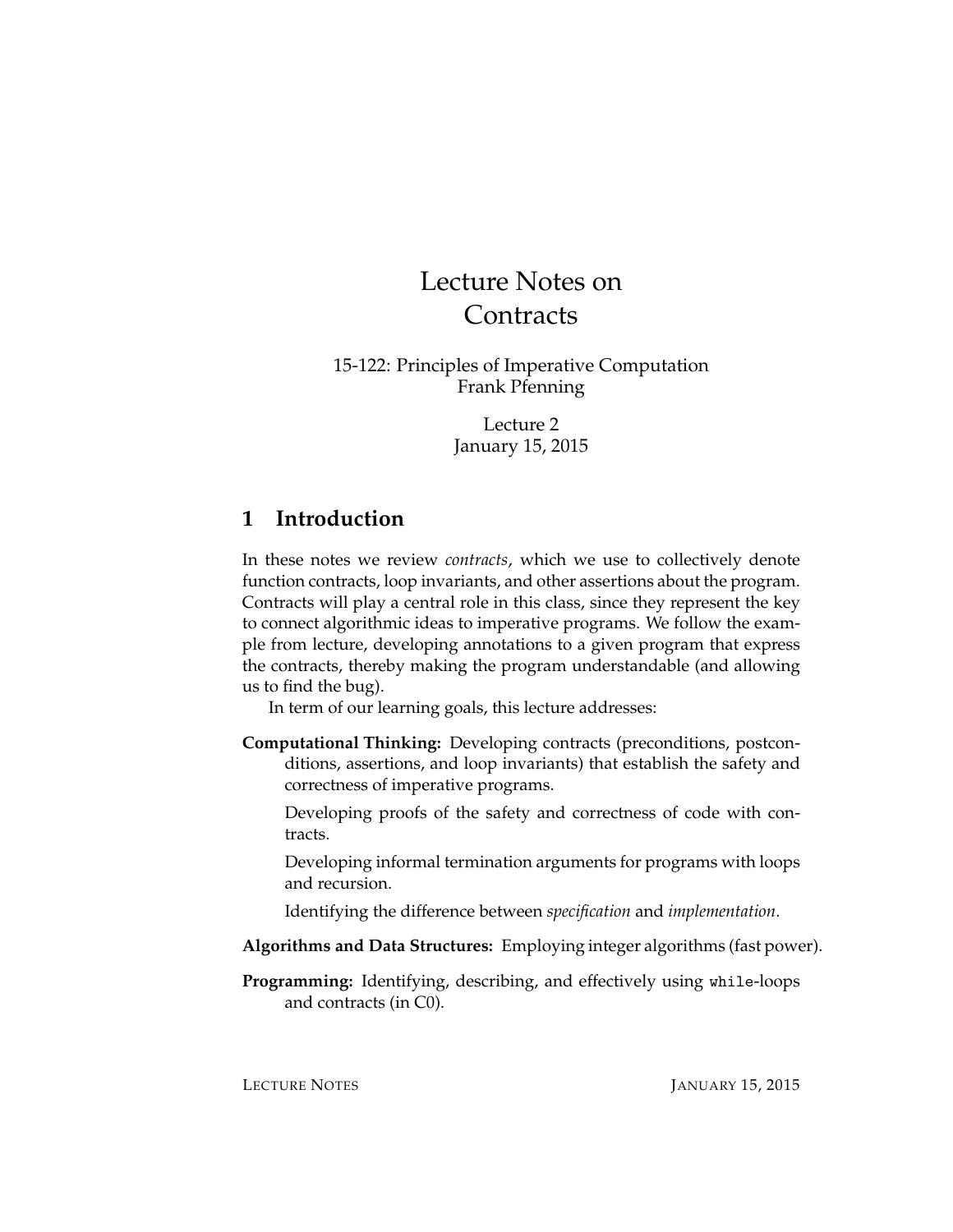# Lecture Notes on **Contracts**

15-122: Principles of Imperative Computation Frank Pfenning

> Lecture 2 January 15, 2015

### **1 Introduction**

In these notes we review *contracts*, which we use to collectively denote function contracts, loop invariants, and other assertions about the program. Contracts will play a central role in this class, since they represent the key to connect algorithmic ideas to imperative programs. We follow the example from lecture, developing annotations to a given program that express the contracts, thereby making the program understandable (and allowing us to find the bug).

In term of our learning goals, this lecture addresses:

**Computational Thinking:** Developing contracts (preconditions, postconditions, assertions, and loop invariants) that establish the safety and correctness of imperative programs.

Developing proofs of the safety and correctness of code with contracts.

Developing informal termination arguments for programs with loops and recursion.

Identifying the difference between *specification* and *implementation*.

- **Algorithms and Data Structures:** Employing integer algorithms (fast power).
- **Programming:** Identifying, describing, and effectively using while-loops and contracts (in C0).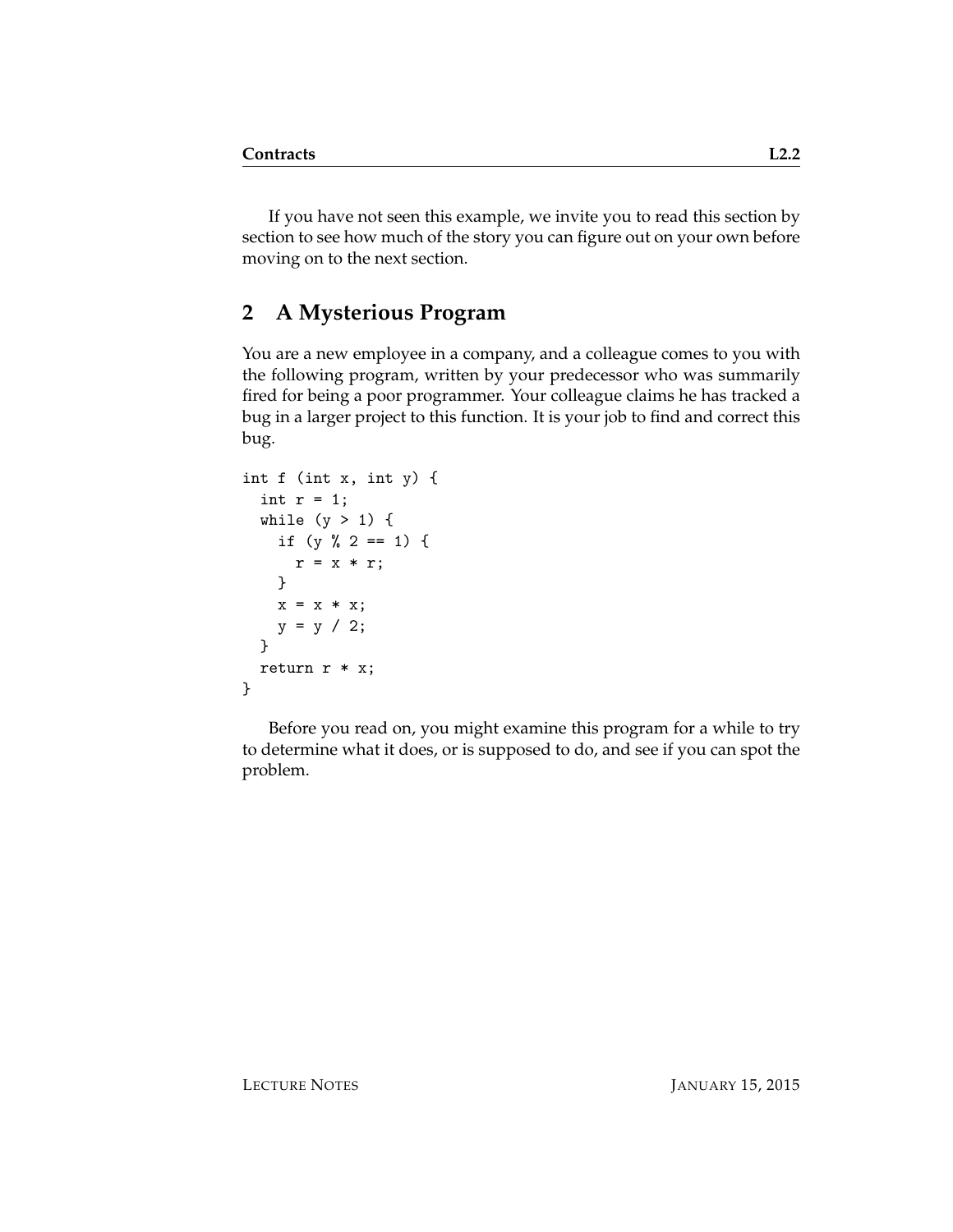If you have not seen this example, we invite you to read this section by section to see how much of the story you can figure out on your own before moving on to the next section.

# **2 A Mysterious Program**

You are a new employee in a company, and a colleague comes to you with the following program, written by your predecessor who was summarily fired for being a poor programmer. Your colleague claims he has tracked a bug in a larger project to this function. It is your job to find and correct this bug.

```
int f (int x, int y) {
 int r = 1;
 while (y > 1) {
   if (y \, % 2 == 1) {
      r = x * r;}
   x = x * x;y = y / 2;}
 return r * x;
}
```
Before you read on, you might examine this program for a while to try to determine what it does, or is supposed to do, and see if you can spot the problem.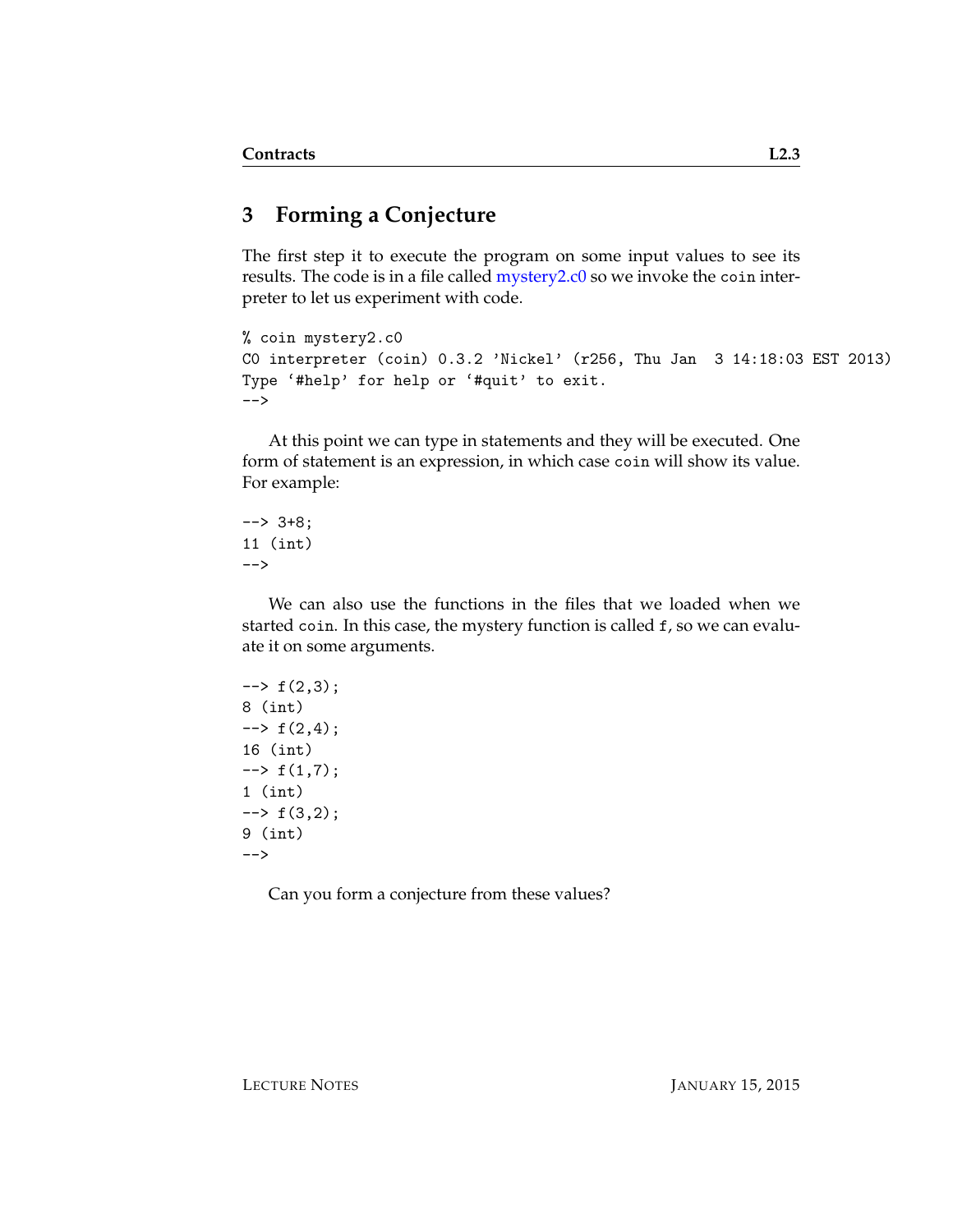# **3 Forming a Conjecture**

The first step it to execute the program on some input values to see its results. The code is in a file called [mystery2.c0](http://www.cs.cmu.edu/~fp/courses/15122-f14/lectures/01-overview/mystery2.c0) so we invoke the coin interpreter to let us experiment with code.

```
% coin mystery2.c0
C0 interpreter (coin) 0.3.2 'Nickel' (r256, Thu Jan 3 14:18:03 EST 2013)
Type '#help' for help or '#quit' to exit.
-->
```
At this point we can type in statements and they will be executed. One form of statement is an expression, in which case coin will show its value. For example:

--> 3+8; 11 (int) -->

We can also use the functions in the files that we loaded when we started coin. In this case, the mystery function is called f, so we can evaluate it on some arguments.

```
\leftarrow + f(2,3);
8 (int)
\leftarrow + f(2,4);16 (int)
\leftarrow + f(1,7);
1 (int)
\leftarrow + f(3,2);
9 (int)
-->
```
Can you form a conjecture from these values?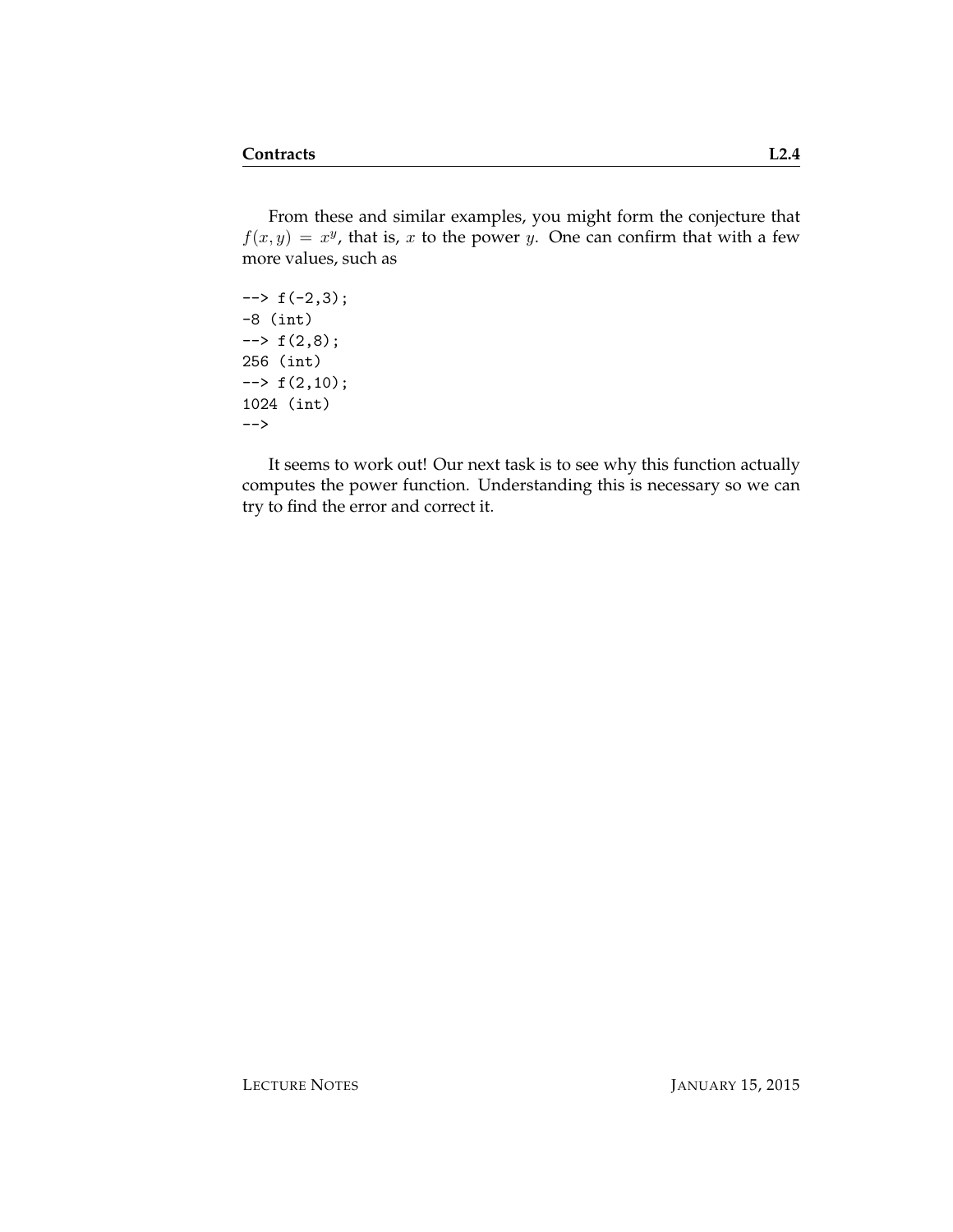From these and similar examples, you might form the conjecture that  $f(x, y) = x^y$ , that is, x to the power y. One can confirm that with a few more values, such as

 $\rightarrow$  f(-2,3); -8 (int)  $\rightarrow$  f(2,8); 256 (int)  $\leftarrow$  +  $f(2,10)$ ; 1024 (int) -->

It seems to work out! Our next task is to see why this function actually computes the power function. Understanding this is necessary so we can try to find the error and correct it.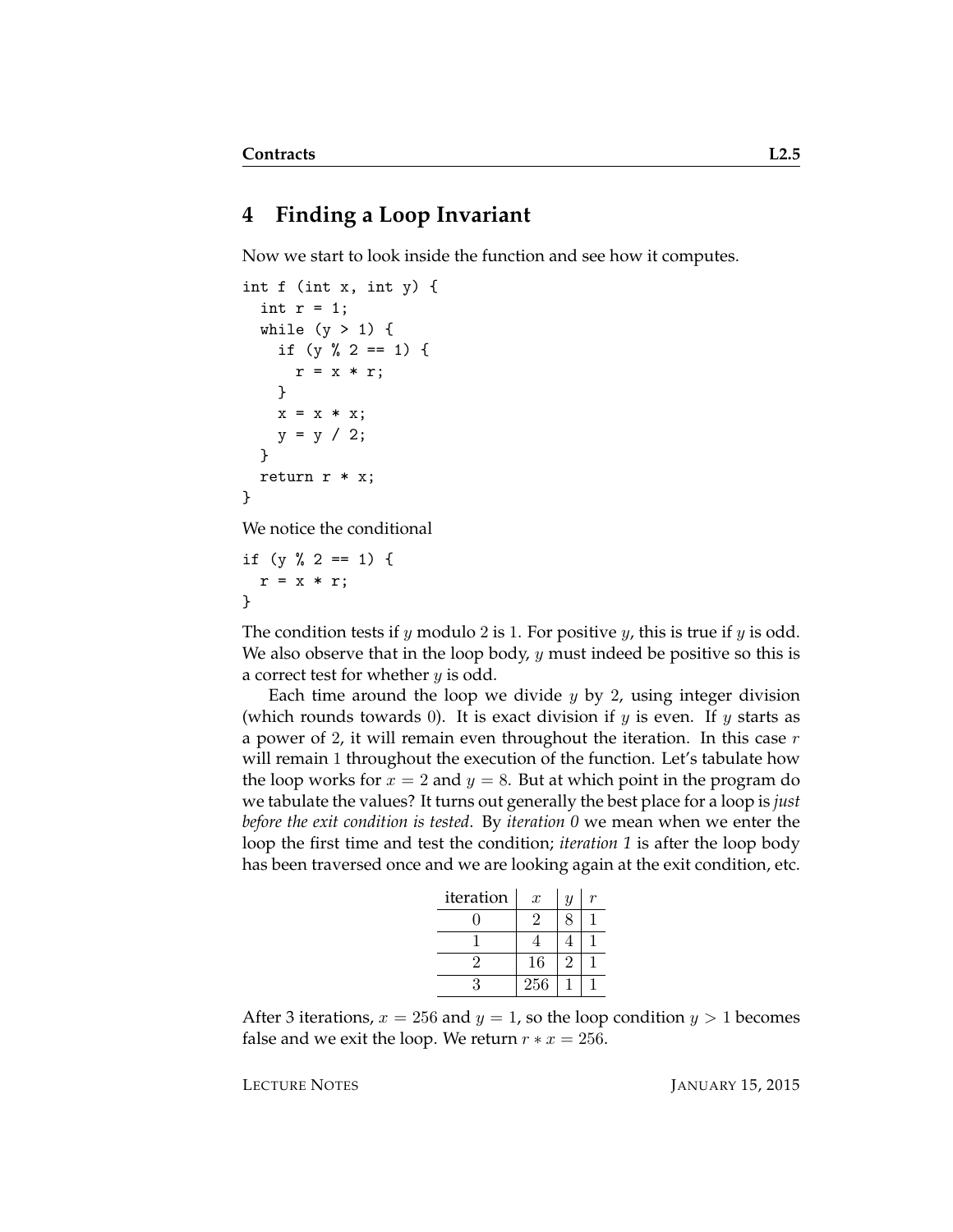#### **4 Finding a Loop Invariant**

Now we start to look inside the function and see how it computes.

```
int f (int x, int y) {
  int r = 1;
  while (y > 1) {
    if (y \, % \, 2 == 1) \, {\mathfrak{t}}r = x * r;}
    x = x * x;y = y / 2;}
  return r * x;
}
```
We notice the conditional

```
if (y \, % \, 2 == 1) \, {\mathfrak{t}}r = x * r;}
```
The condition tests if  $y$  modulo 2 is 1. For positive  $y$ , this is true if  $y$  is odd. We also observe that in the loop body,  $y$  must indeed be positive so this is a correct test for whether  $y$  is odd.

Each time around the loop we divide  $y$  by 2, using integer division (which rounds towards 0). It is exact division if  $y$  is even. If  $y$  starts as a power of 2, it will remain even throughout the iteration. In this case  $r$ will remain 1 throughout the execution of the function. Let's tabulate how the loop works for  $x = 2$  and  $y = 8$ . But at which point in the program do we tabulate the values? It turns out generally the best place for a loop is *just before the exit condition is tested*. By *iteration 0* we mean when we enter the loop the first time and test the condition; *iteration 1* is after the loop body has been traversed once and we are looking again at the exit condition, etc.

| iteration | $\boldsymbol{x}$ | $\boldsymbol{y}$ |  |
|-----------|------------------|------------------|--|
|           | $\overline{2}$   | 8                |  |
|           |                  | 4                |  |
| 2         | 16               | 2                |  |
| 3         | 256              |                  |  |

After 3 iterations,  $x = 256$  and  $y = 1$ , so the loop condition  $y > 1$  becomes false and we exit the loop. We return  $r * x = 256$ .

LECTURE NOTES JANUARY 15, 2015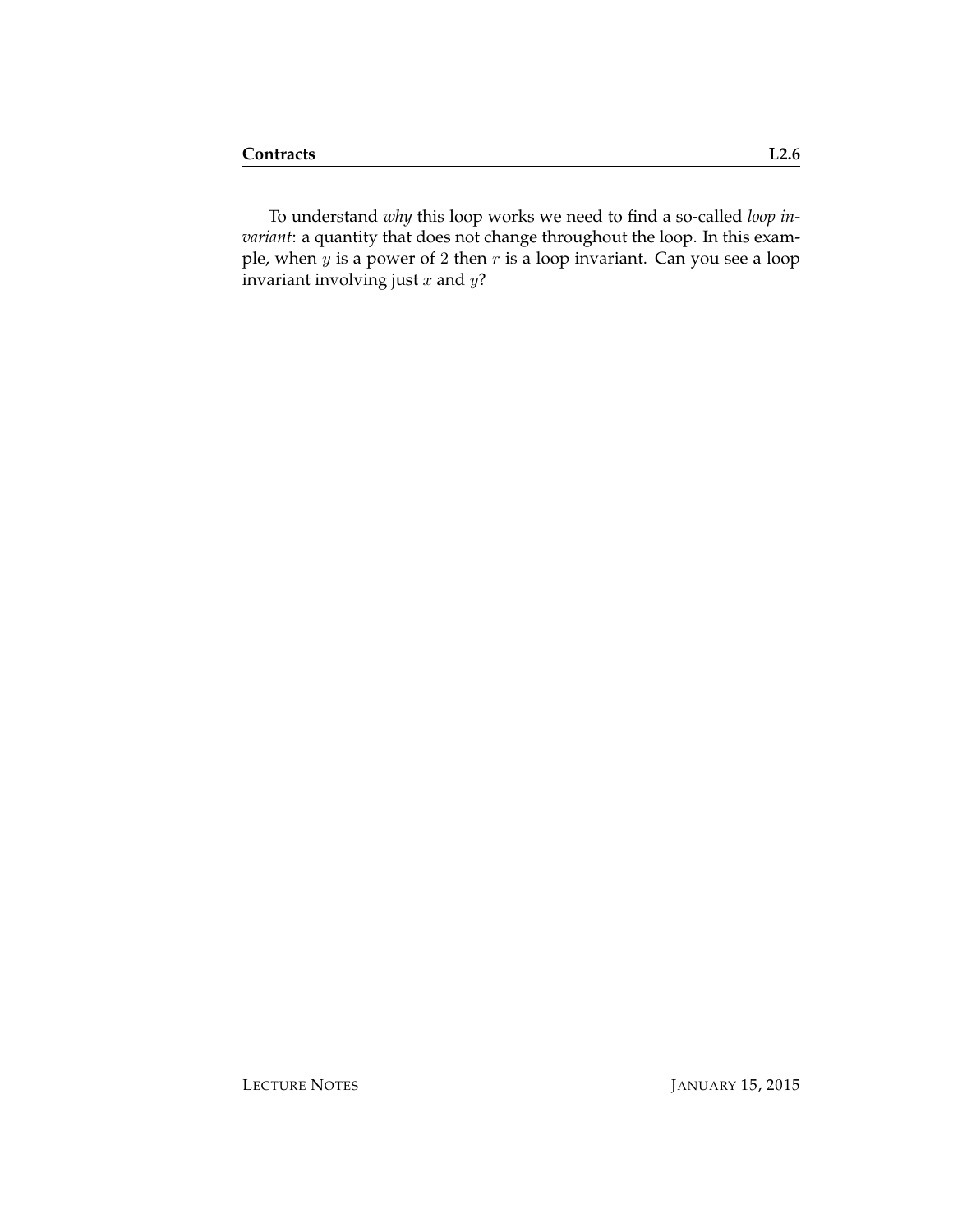To understand *why* this loop works we need to find a so-called *loop invariant*: a quantity that does not change throughout the loop. In this example, when  $y$  is a power of 2 then  $r$  is a loop invariant. Can you see a loop invariant involving just  $x$  and  $y$ ?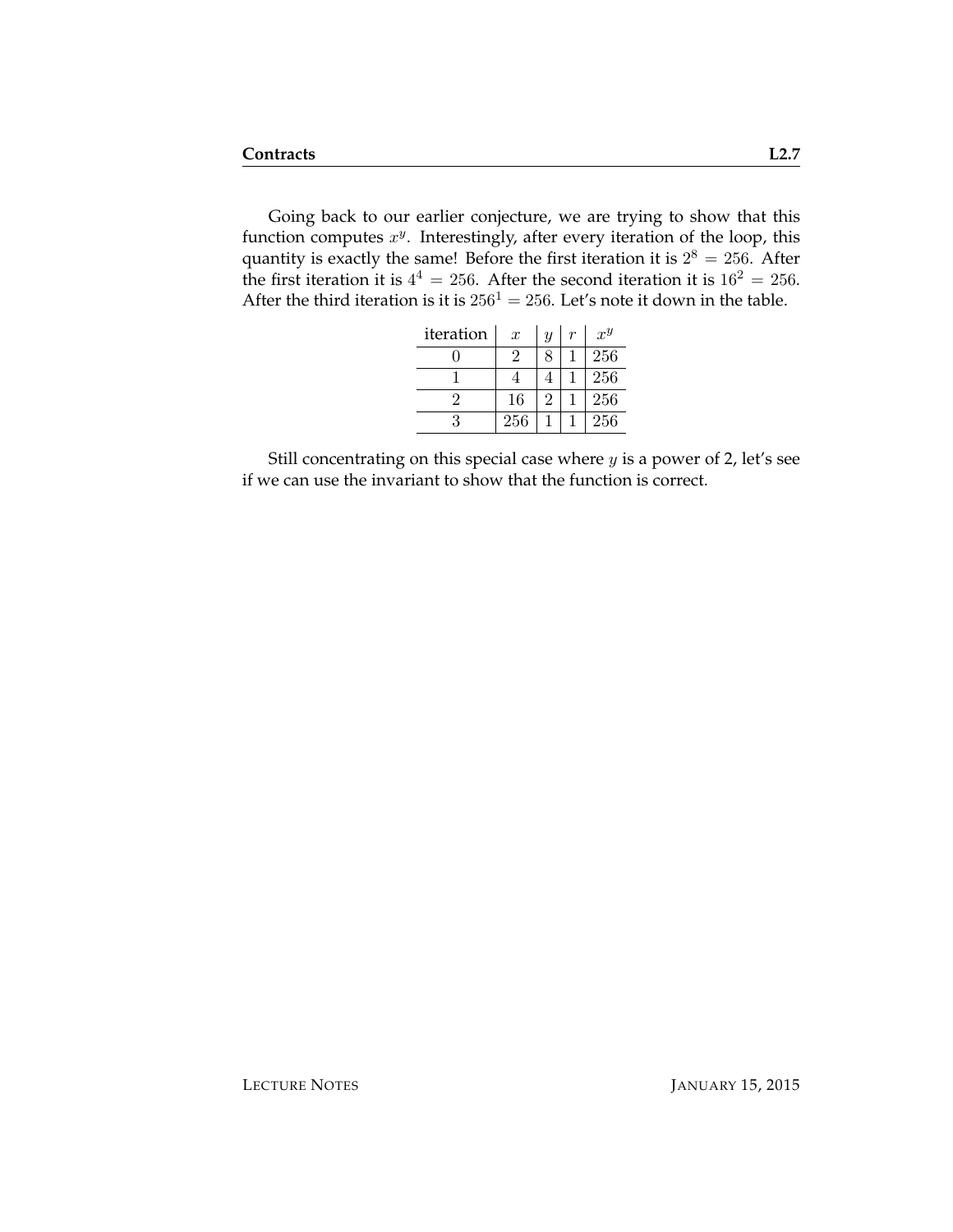Going back to our earlier conjecture, we are trying to show that this function computes  $x^y$ . Interestingly, after every iteration of the loop, this quantity is exactly the same! Before the first iteration it is  $2^8 = 256$ . After the first iteration it is  $4^4 = 256$ . After the second iteration it is  $16^2 = 256$ . After the third iteration is it is  $256<sup>1</sup> = 256$ . Let's note it down in the table.

| iteration | $\boldsymbol{x}$ | $\overline{y}$ | r | $x^y$ |
|-----------|------------------|----------------|---|-------|
|           | 2                | 8              |   | 256   |
|           |                  |                |   | 256   |
|           | 16               | 2              |   | 256   |
| 3         | 256              |                |   | 256   |

Still concentrating on this special case where  $y$  is a power of 2, let's see if we can use the invariant to show that the function is correct.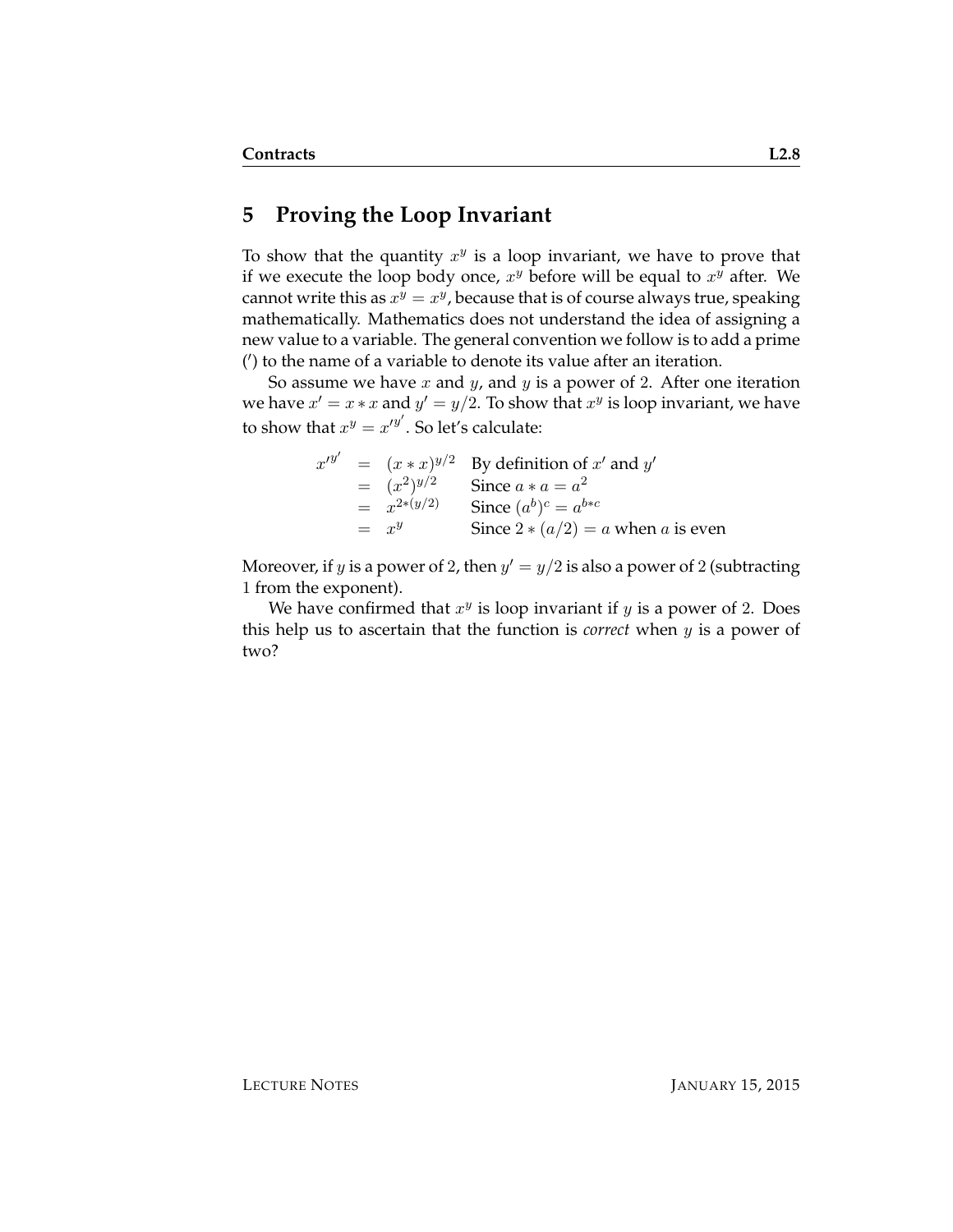#### **5 Proving the Loop Invariant**

To show that the quantity  $x^y$  is a loop invariant, we have to prove that if we execute the loop body once,  $x^y$  before will be equal to  $x^y$  after. We cannot write this as  $x^y = x^y$ , because that is of course always true, speaking mathematically. Mathematics does not understand the idea of assigning a new value to a variable. The general convention we follow is to add a prime (') to the name of a variable to denote its value after an iteration.

So assume we have  $x$  and  $y$ , and  $y$  is a power of 2. After one iteration we have  $x' = x * x$  and  $y' = y/2$ . To show that  $x^y$  is loop invariant, we have to show that  $x^y = x'^{y'}$ . So let's calculate:

|  |                   | $x'^{y'} = (x * x)^{y/2}$ By definition of x' and y' |
|--|-------------------|------------------------------------------------------|
|  | $=$ $(x^2)^{y/2}$ | Since $a * a = a^2$                                  |
|  | $= x^{2*(y/2)}$   | Since $(a^b)^c = a^{b*c}$                            |
|  | $=$ $x^y$         | Since $2 * (a/2) = a$ when a is even                 |

Moreover, if y is a power of 2, then  $y' = y/2$  is also a power of 2 (subtracting 1 from the exponent).

We have confirmed that  $x^y$  is loop invariant if  $y$  is a power of 2. Does this help us to ascertain that the function is *correct* when y is a power of two?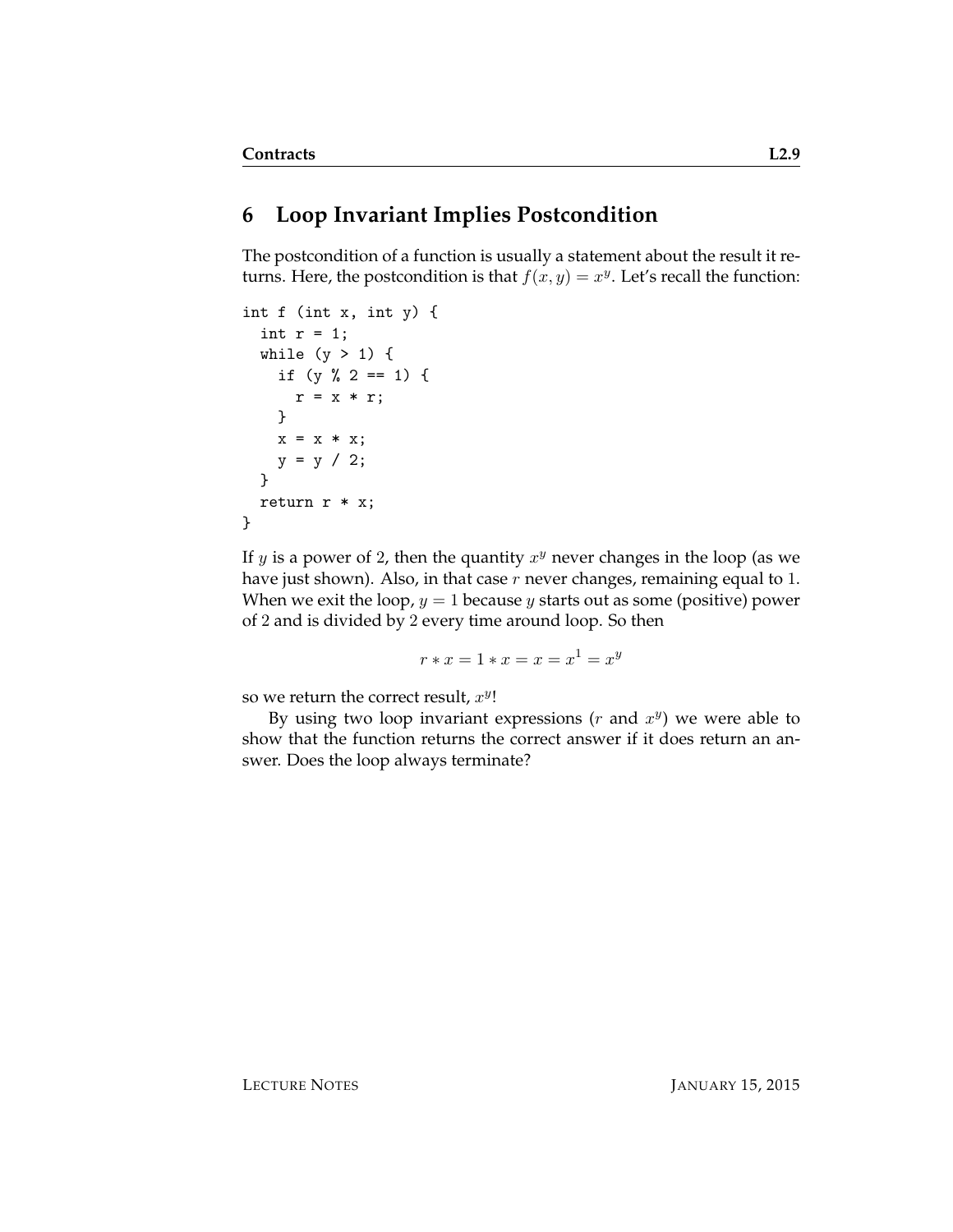### **6 Loop Invariant Implies Postcondition**

The postcondition of a function is usually a statement about the result it returns. Here, the postcondition is that  $f(x, y) = x^y$ . Let's recall the function:

```
int f (int x, int y) {
  int r = 1;
 while (y > 1) {
   if (y % 2 == 1) {
     r = x * r;}
   x = x * x;y = y / 2;}
 return r * x;
}
```
If y is a power of 2, then the quantity  $x^y$  never changes in the loop (as we have just shown). Also, in that case  $r$  never changes, remaining equal to 1. When we exit the loop,  $y = 1$  because y starts out as some (positive) power of 2 and is divided by 2 every time around loop. So then

 $r * x = 1 * x = x = x^1 = x^y$ 

so we return the correct result,  $x^y$ !

By using two loop invariant expressions  $(r$  and  $x<sup>y</sup>)$  we were able to show that the function returns the correct answer if it does return an answer. Does the loop always terminate?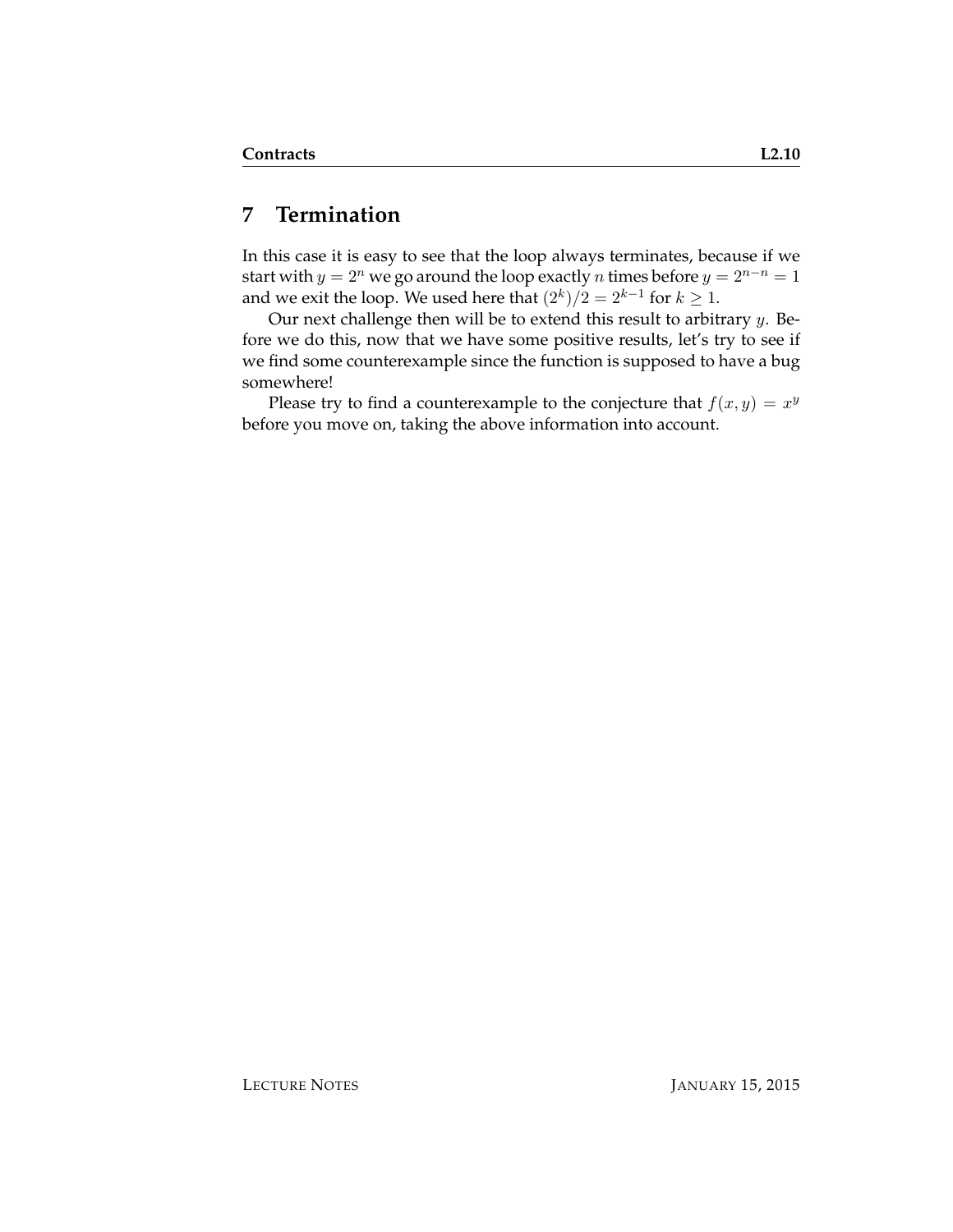### **7 Termination**

In this case it is easy to see that the loop always terminates, because if we start with  $y = 2^n$  we go around the loop exactly *n* times before  $y = 2^{n-n} = 1$ and we exit the loop. We used here that  $(2^k)/2 = 2^{k-1}$  for  $k \geq 1$ .

Our next challenge then will be to extend this result to arbitrary  $y$ . Before we do this, now that we have some positive results, let's try to see if we find some counterexample since the function is supposed to have a bug somewhere!

Please try to find a counterexample to the conjecture that  $f(x, y) = x^y$ before you move on, taking the above information into account.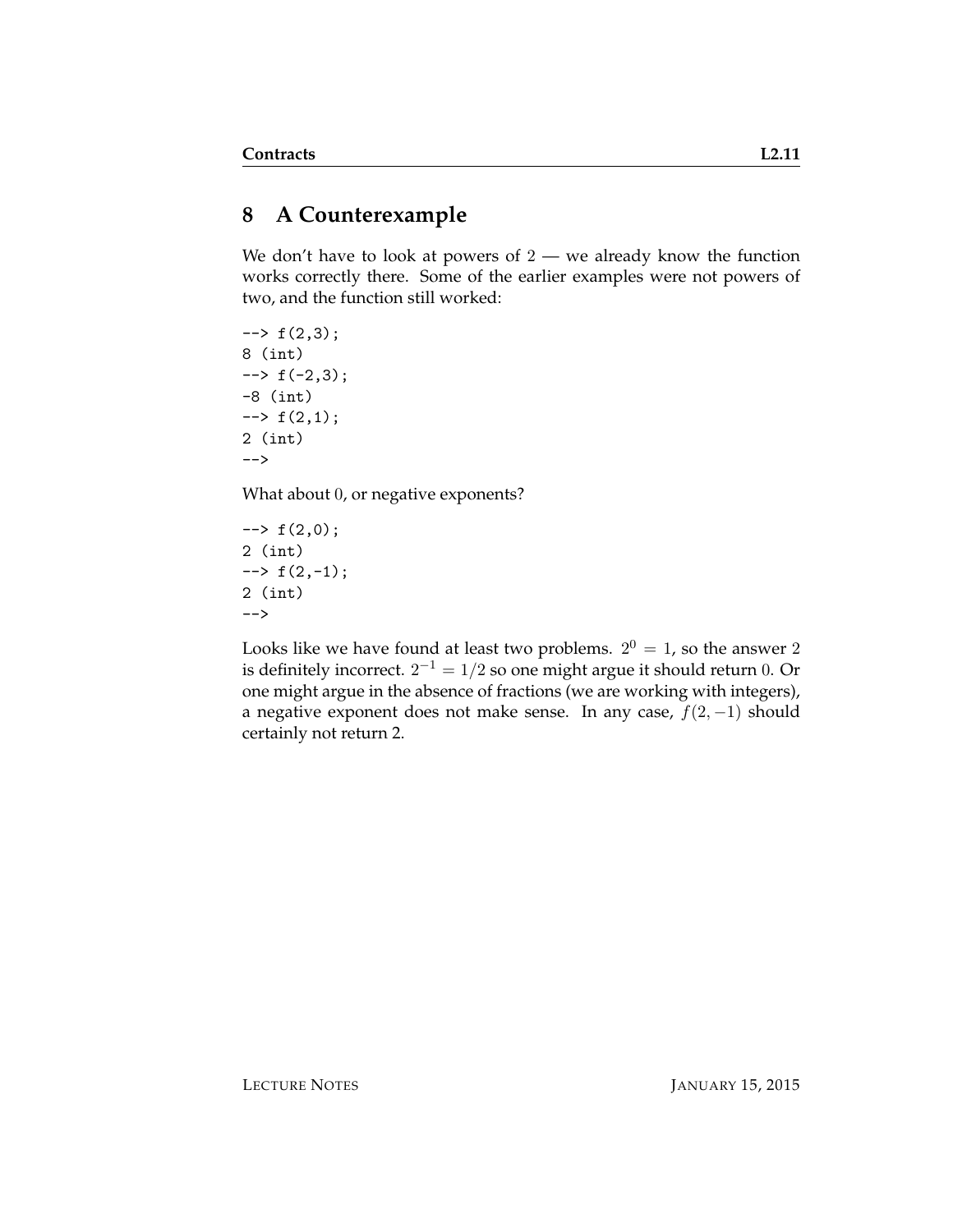# **8 A Counterexample**

We don't have to look at powers of  $2 -$  we already know the function works correctly there. Some of the earlier examples were not powers of two, and the function still worked:

 $\leftarrow$  +  $f(2,3);$ 8 (int)  $\leftarrow$  +  $\left( -2, 3 \right)$ ; -8 (int)  $\rightarrow$  f(2,1); 2 (int) -->

What about 0, or negative exponents?

 $\leftarrow$  +  $f(2,0);$ 2 (int)  $\leftarrow$   $f(2,-1);$ 2 (int) -->

Looks like we have found at least two problems.  $2^0 = 1$ , so the answer 2 is definitely incorrect.  $2^{-1} = 1/2$  so one might argue it should return  $0$ . Or one might argue in the absence of fractions (we are working with integers), a negative exponent does not make sense. In any case,  $f(2, -1)$  should certainly not return 2.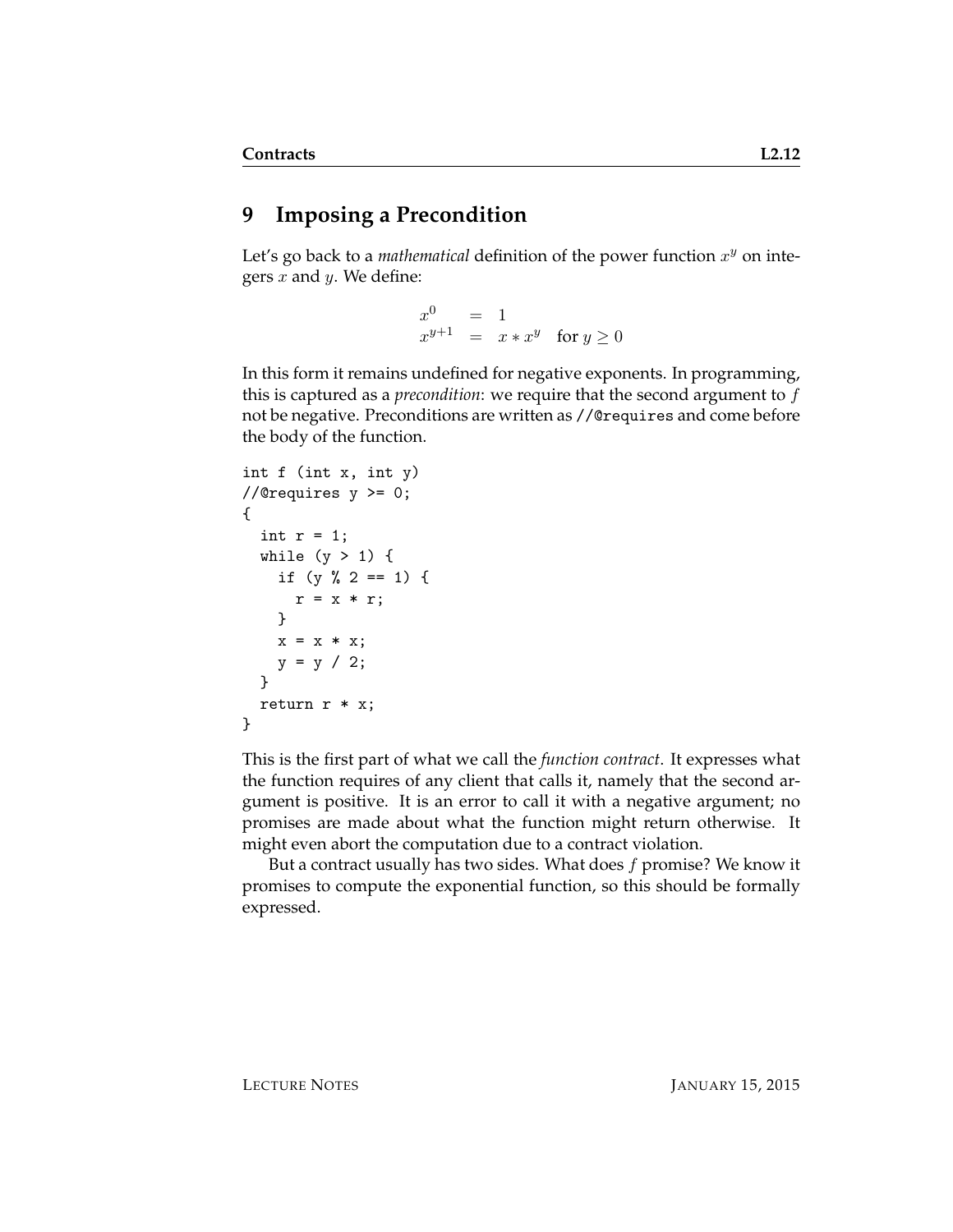# **9 Imposing a Precondition**

Let's go back to a *mathematical* definition of the power function  $x^y$  on integers  $x$  and  $y$ . We define:

> $x^0$  $=$  1  $x^{y+1} = x * x^y$  for  $y \ge 0$

In this form it remains undefined for negative exponents. In programming, this is captured as a *precondition*: we require that the second argument to f not be negative. Preconditions are written as //@requires and come before the body of the function.

```
int f (int x, int y)
//@requires y \ge 0;
{
  int r = 1;
  while (y > 1) {
    if (y \, % \, 2 == 1) \, {\mathfrak{t}}r = x * r;}
    x = x * x;y = y / 2;}
  return r * x;
}
```
This is the first part of what we call the *function contract*. It expresses what the function requires of any client that calls it, namely that the second argument is positive. It is an error to call it with a negative argument; no promises are made about what the function might return otherwise. It might even abort the computation due to a contract violation.

But a contract usually has two sides. What does  $f$  promise? We know it promises to compute the exponential function, so this should be formally expressed.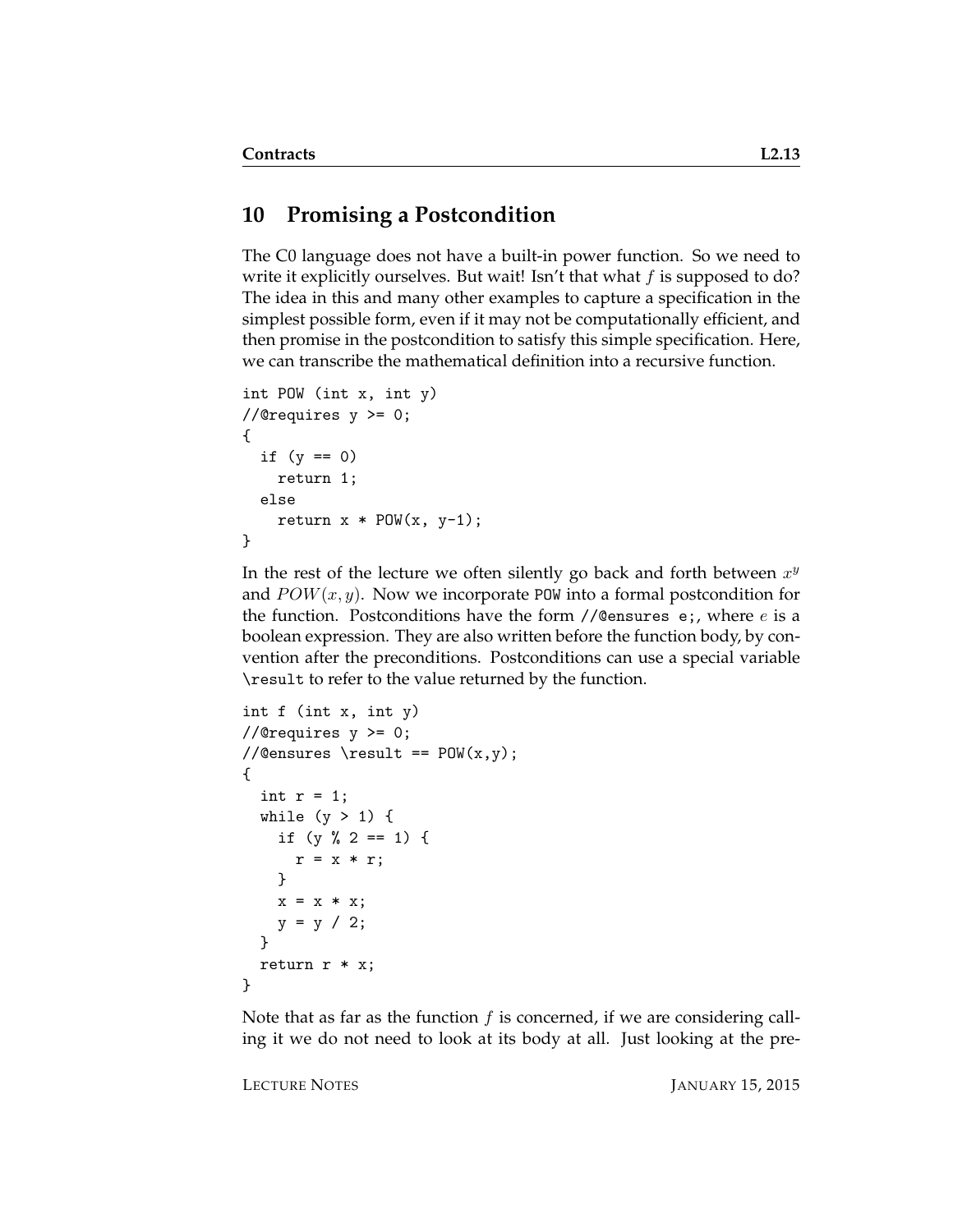#### **10 Promising a Postcondition**

The C0 language does not have a built-in power function. So we need to write it explicitly ourselves. But wait! Isn't that what  $f$  is supposed to do? The idea in this and many other examples to capture a specification in the simplest possible form, even if it may not be computationally efficient, and then promise in the postcondition to satisfy this simple specification. Here, we can transcribe the mathematical definition into a recursive function.

```
int POW (int x, int y)
//@requires y >= 0;
{
  if (y == 0)return 1;
  else
    return x * POW(x, y-1);}
```
In the rest of the lecture we often silently go back and forth between  $x^y$ and  $POW(x, y)$ . Now we incorporate POW into a formal postcondition for the function. Postconditions have the form  $//@$ ensures e;, where  $e$  is a boolean expression. They are also written before the function body, by convention after the preconditions. Postconditions can use a special variable \result to refer to the value returned by the function.

```
int f (int x, int y)
//@requires y \ge 0;
//@ensures \result == POW(x,y);
{
  int r = 1;
 while (y > 1) {
   if (y % 2 == 1) {
      r = x * r;}
   x = x * x;y = y / 2;}
  return r * x;
}
```
Note that as far as the function  $f$  is concerned, if we are considering calling it we do not need to look at its body at all. Just looking at the pre-

LECTURE NOTES JANUARY 15, 2015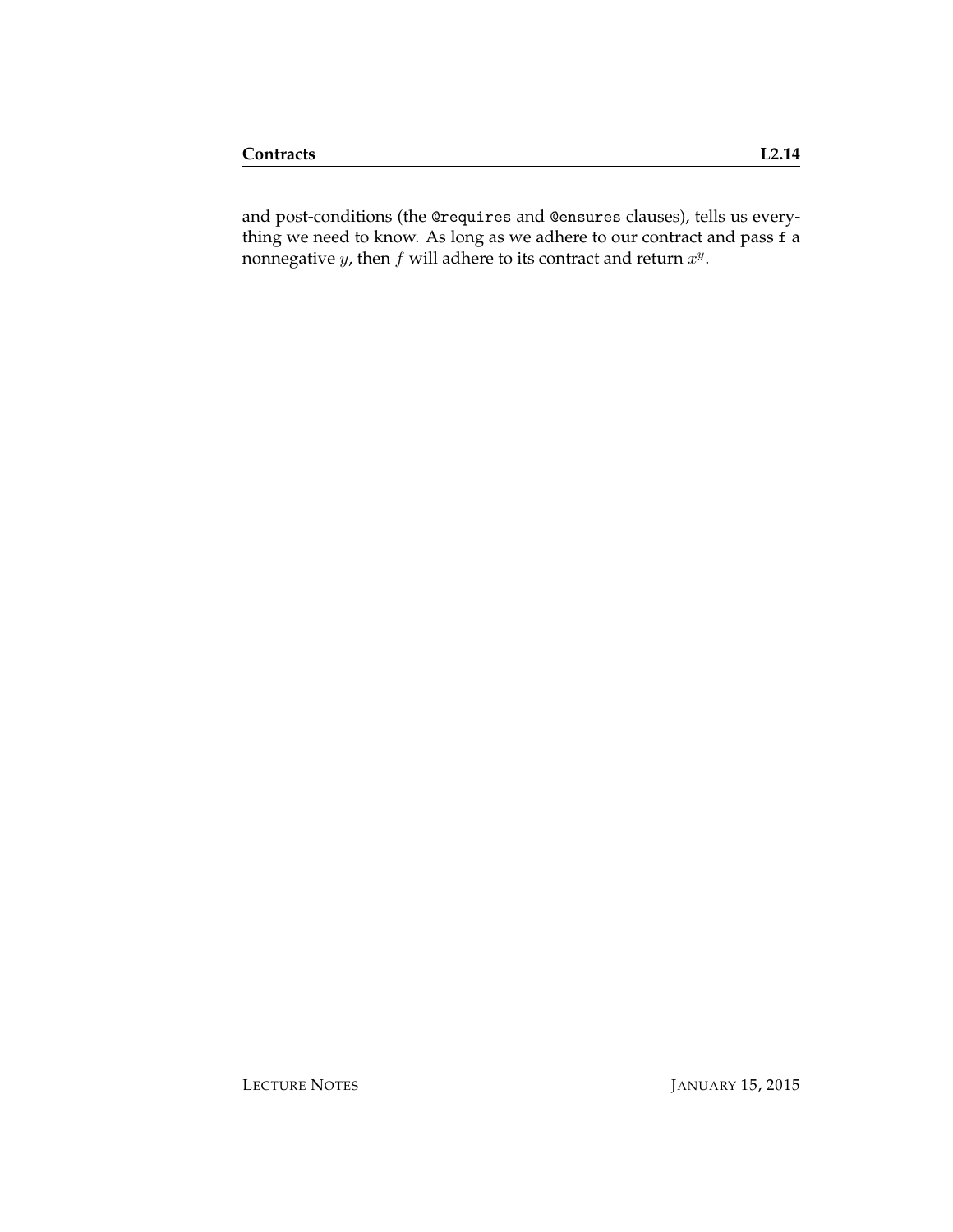and post-conditions (the @requires and @ensures clauses), tells us everything we need to know. As long as we adhere to our contract and pass f a nonnegative y, then  $f$  will adhere to its contract and return  $x^y$ .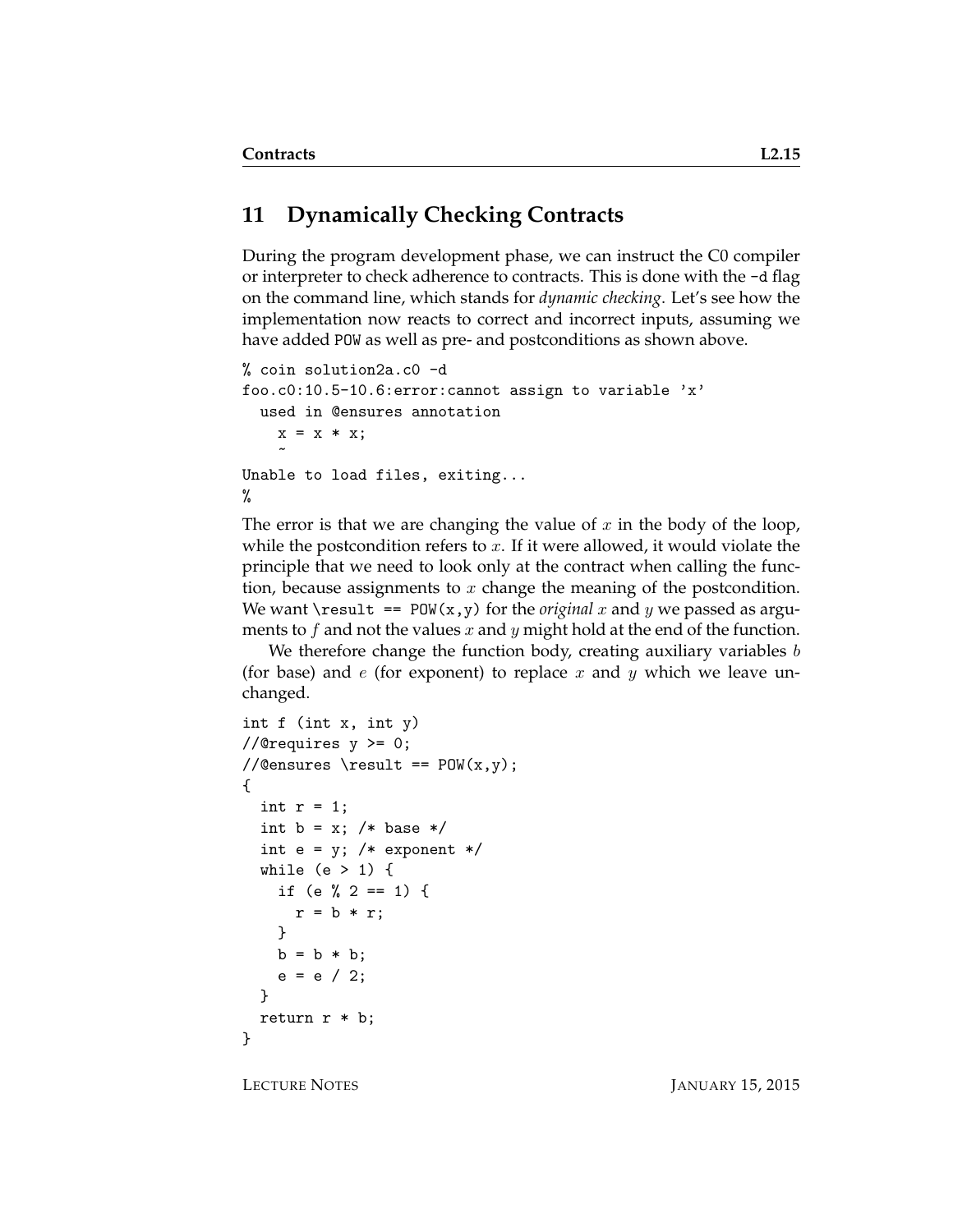# **11 Dynamically Checking Contracts**

During the program development phase, we can instruct the C0 compiler or interpreter to check adherence to contracts. This is done with the -d flag on the command line, which stands for *dynamic checking*. Let's see how the implementation now reacts to correct and incorrect inputs, assuming we have added POW as well as pre- and postconditions as shown above.

```
% coin solution2a.c0 -d
foo.c0:10.5-10.6:error:cannot assign to variable 'x'
  used in @ensures annotation
    x = x * x;\tilde{ }Unable to load files, exiting...
%
```
The error is that we are changing the value of x in the body of the loop, while the postcondition refers to  $x$ . If it were allowed, it would violate the principle that we need to look only at the contract when calling the function, because assignments to  $x$  change the meaning of the postcondition. We want  $\text{result}$  == POW(x,y) for the *original* x and y we passed as arguments to f and not the values x and y might hold at the end of the function.

We therefore change the function body, creating auxiliary variables  $b$ (for base) and  $e$  (for exponent) to replace  $x$  and  $y$  which we leave unchanged.

```
int f (int x, int y)
//@requires y >= 0;
//@ensures \result == POW(x, y);
{
  int r = 1;
  int b = x; /* base */
  int e = y; /* exponent */
  while (e > 1) {
    if (e \frac{9}{2} 2 == 1) {
      r = b * r;
    }
    b = b * b;e = e / 2;}
  return r * b;
}
```
LECTURE NOTES JANUARY 15, 2015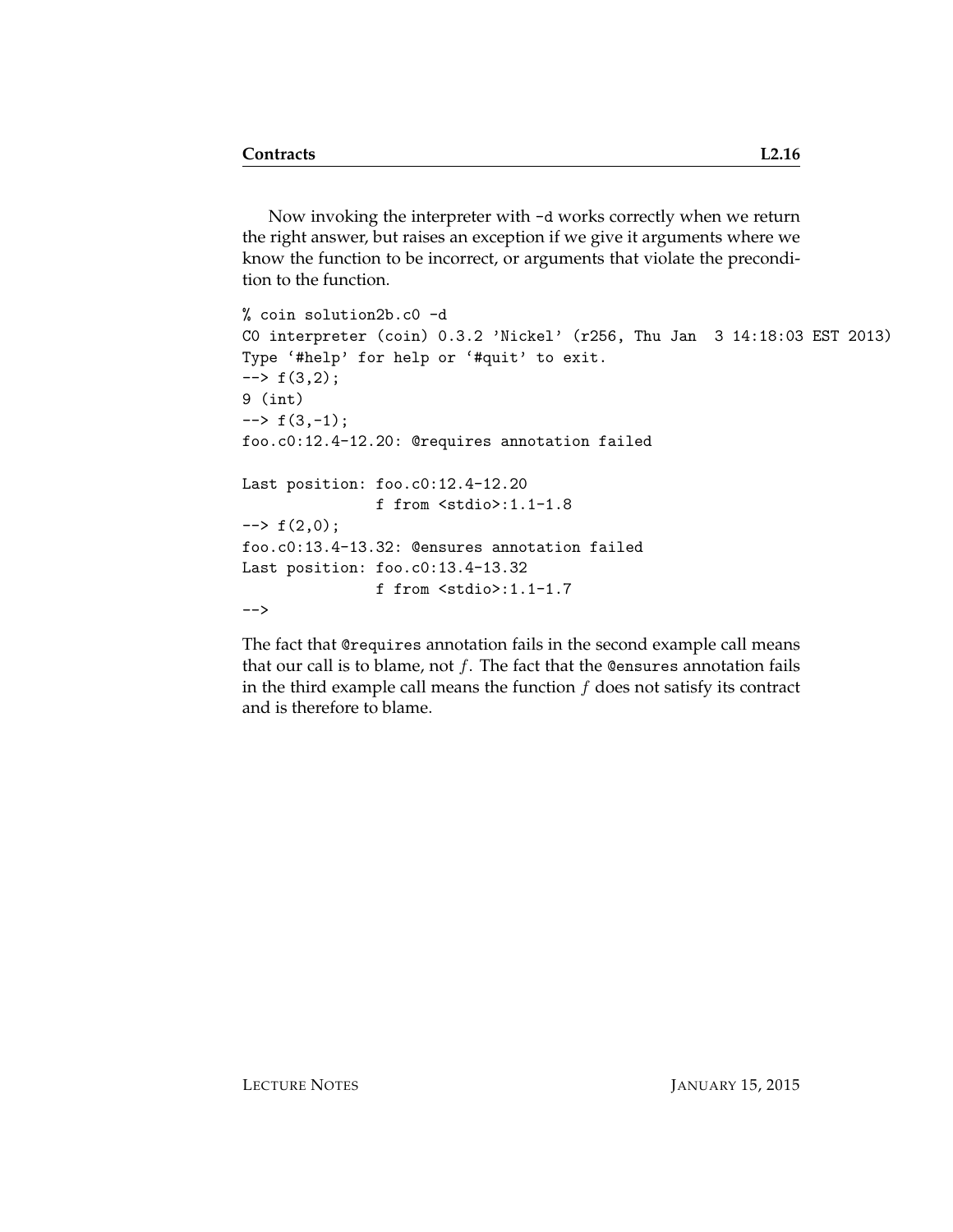Now invoking the interpreter with -d works correctly when we return the right answer, but raises an exception if we give it arguments where we know the function to be incorrect, or arguments that violate the precondition to the function.

```
% coin solution2b.c0 -d
C0 interpreter (coin) 0.3.2 'Nickel' (r256, Thu Jan 3 14:18:03 EST 2013)
Type '#help' for help or '#quit' to exit.
\leftarrow + f(3,2);
9 (int)
\leftarrow \rightarrow f(3,-1);
foo.c0:12.4-12.20: @requires annotation failed
Last position: foo.c0:12.4-12.20
                f from <stdio>:1.1-1.8
\leftarrow + f(2,0);
foo.c0:13.4-13.32: @ensures annotation failed
Last position: foo.c0:13.4-13.32
                f from <stdio>:1.1-1.7
-->
```
The fact that @requires annotation fails in the second example call means that our call is to blame, not  $f$ . The fact that the @ensures annotation fails in the third example call means the function  $f$  does not satisfy its contract and is therefore to blame.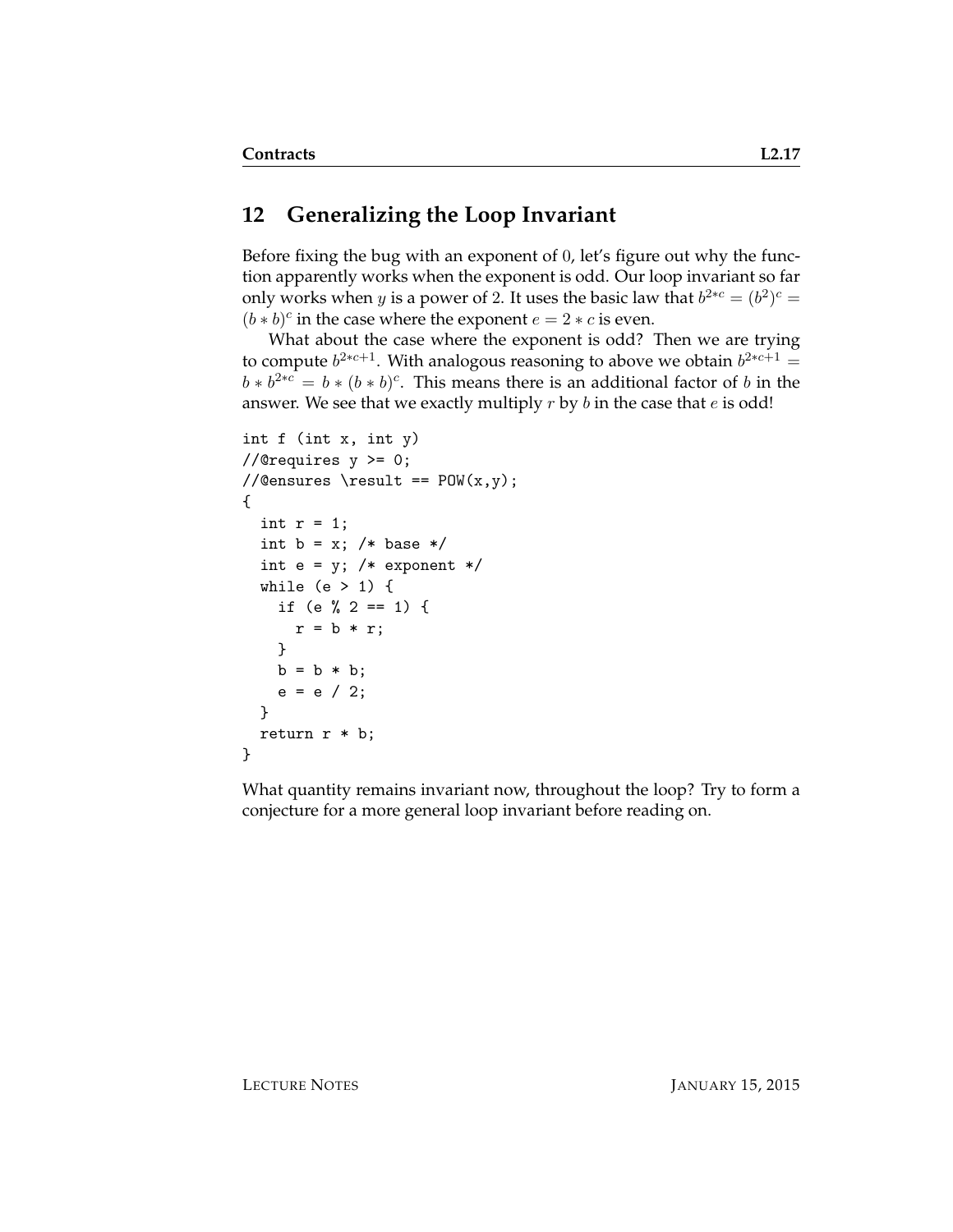### **12 Generalizing the Loop Invariant**

Before fixing the bug with an exponent of 0, let's figure out why the function apparently works when the exponent is odd. Our loop invariant so far only works when *y* is a power of 2. It uses the basic law that  $b^{2*c} = (b^2)^c =$  $(b * b)^c$  in the case where the exponent  $e = 2 * c$  is even.

What about the case where the exponent is odd? Then we are trying to compute  $b^{2*c+1}$ . With analogous reasoning to above we obtain  $b^{2*c+1} =$  $b * b^{2*c} = b * (b * b)^c$ . This means there is an additional factor of b in the answer. We see that we exactly multiply  $r$  by  $b$  in the case that  $e$  is odd!

```
int f (int x, int y)
//@requires y >= 0;
//Qensures \result == POW(x,y);{
  int r = 1;
  int b = x; /* base */
  int e = y; /* exponent */
 while (e > 1) {
    if (e % 2 == 1) {
     r = b * r;
   }
   b = b * b;e = e / 2;}
  return r * b;
}
```
What quantity remains invariant now, throughout the loop? Try to form a conjecture for a more general loop invariant before reading on.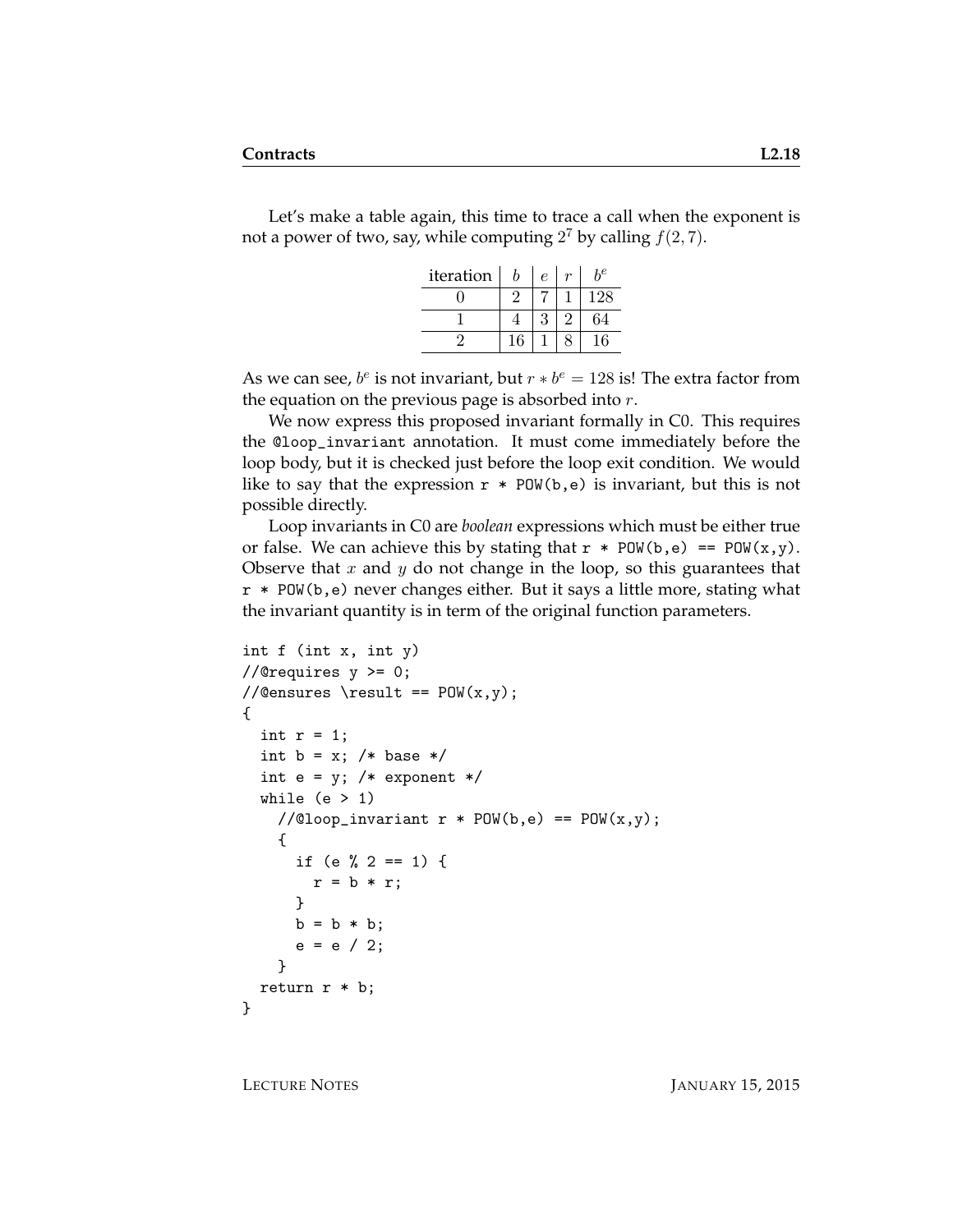Let's make a table again, this time to trace a call when the exponent is not a power of two, say, while computing  $2^7$  by calling  $f(2, 7)$ .

| iteration | b  | $\epsilon$ | Ļе  |
|-----------|----|------------|-----|
|           |    |            | 128 |
|           |    | Q          | 64  |
|           | 16 |            | 6   |

As we can see,  $b^e$  is not invariant, but  $r * b^e = 128$  is! The extra factor from the equation on the previous page is absorbed into  $r$ .

We now express this proposed invariant formally in C0. This requires the @loop\_invariant annotation. It must come immediately before the loop body, but it is checked just before the loop exit condition. We would like to say that the expression  $r * POW(b, e)$  is invariant, but this is not possible directly.

Loop invariants in C0 are *boolean* expressions which must be either true or false. We can achieve this by stating that  $r * POW(b, e) == POW(x, y)$ . Observe that x and y do not change in the loop, so this guarantees that r \* POW(b,e) never changes either. But it says a little more, stating what the invariant quantity is in term of the original function parameters.

```
int f (int x, int y)
//@requires y \ge 0;
//@ensures \result == POW(x, y);
{
  int r = 1;
  int b = x; /* base */
  int e = y; /* exponent */
 while (e > 1)//@loop_invariant r * POW(b, e) == POW(x, y);
    {
      if (e \frac{9}{2} == 1) {
        r = b * r;
      }
      b = b * b;e = e / 2;}
 return r * b;
}
```
LECTURE NOTES JANUARY 15, 2015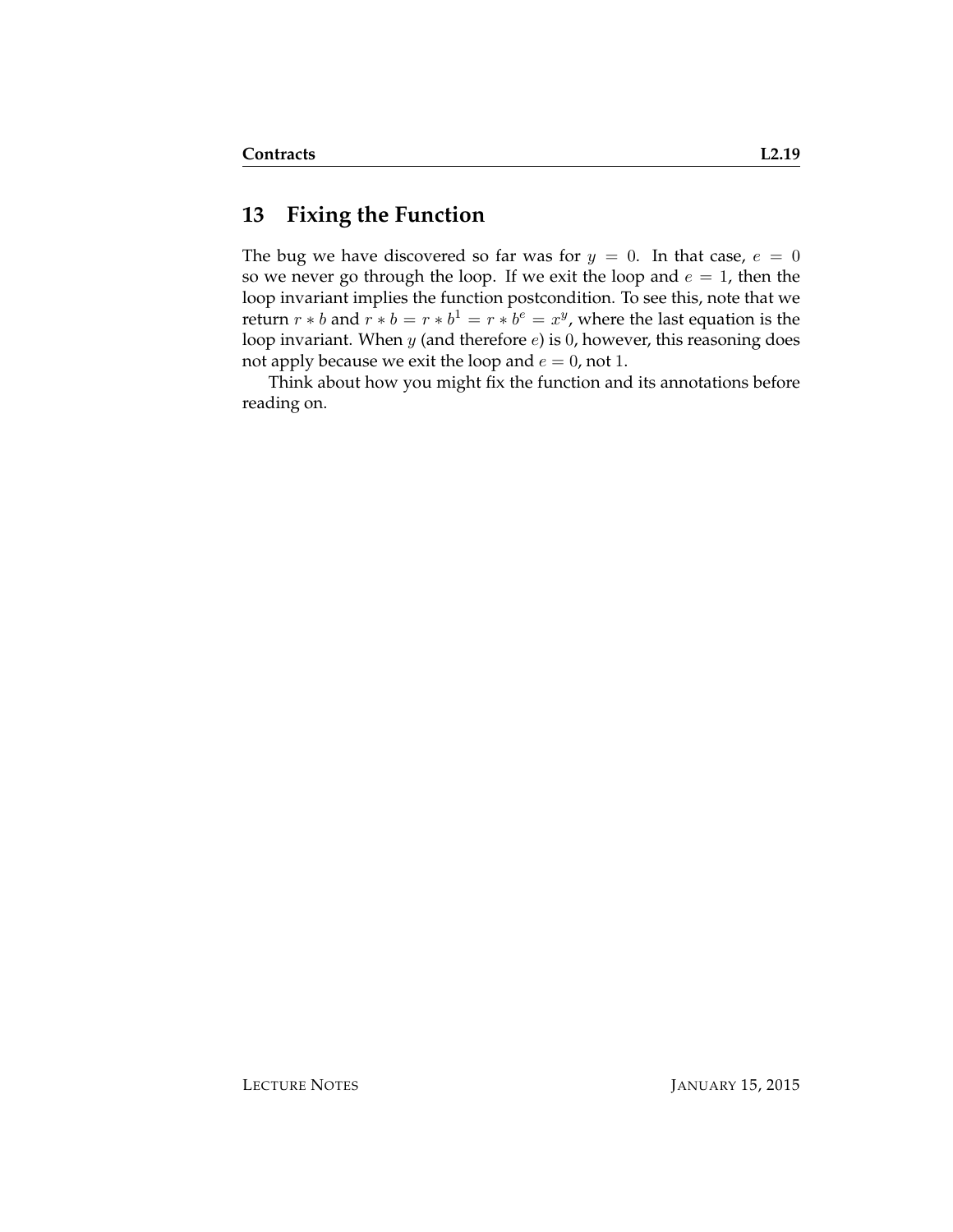### **13 Fixing the Function**

The bug we have discovered so far was for  $y = 0$ . In that case,  $e = 0$ so we never go through the loop. If we exit the loop and  $e = 1$ , then the loop invariant implies the function postcondition. To see this, note that we return  $r * b$  and  $r * b = r * b^1 = r * b^e = x^y$ , where the last equation is the loop invariant. When  $y$  (and therefore  $e$ ) is 0, however, this reasoning does not apply because we exit the loop and  $e = 0$ , not 1.

Think about how you might fix the function and its annotations before reading on.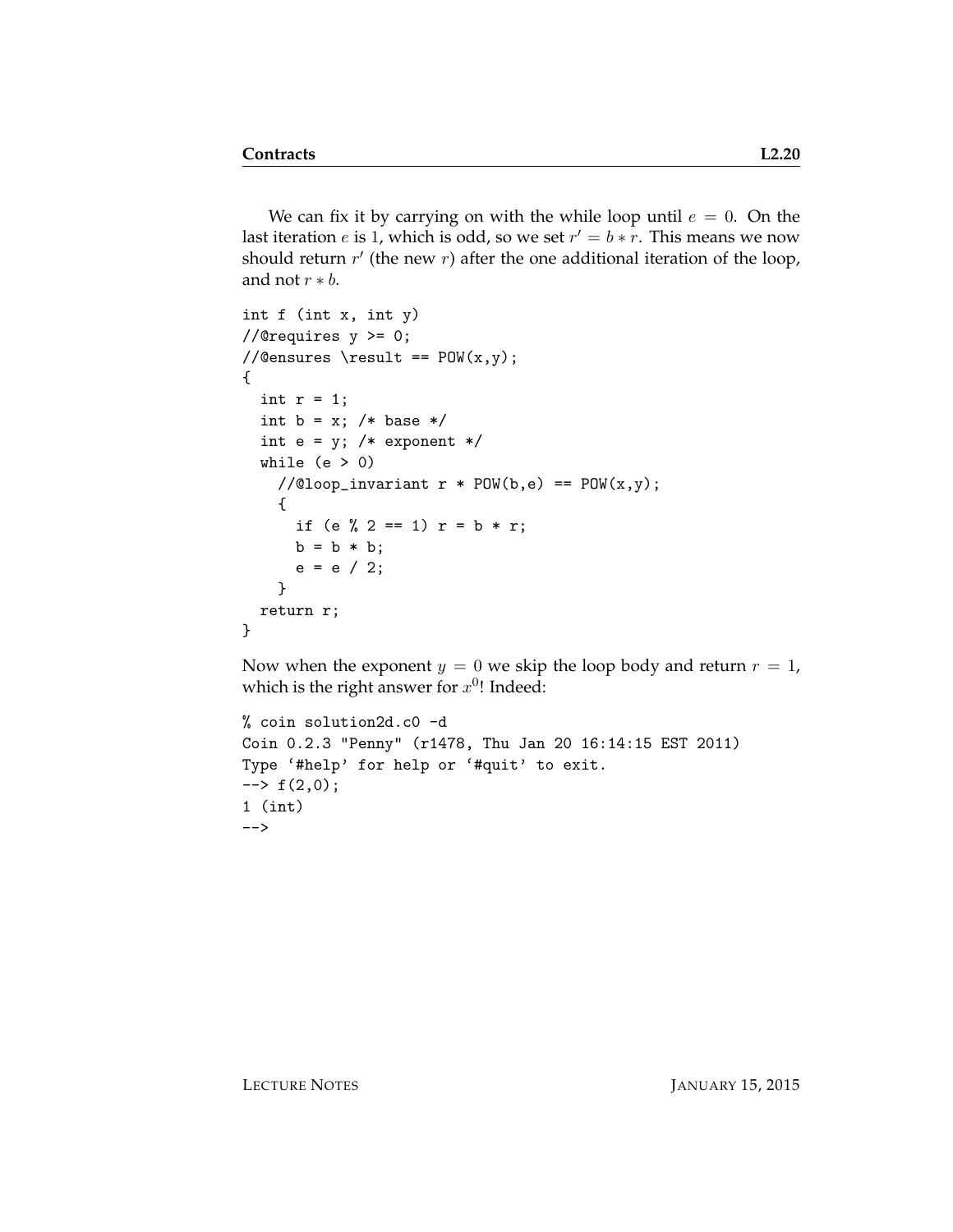We can fix it by carrying on with the while loop until  $e = 0$ . On the last iteration  $e$  is 1, which is odd, so we set  $r' = b * r$ . This means we now should return  $r'$  (the new  $r$ ) after the one additional iteration of the loop, and not  $r * b$ .

```
int f (int x, int y)
//@requires y >= 0;
//@ensures \result == POW(x,y);
{
  int r = 1;
  int b = x; /* base */
  int e = y; /* exponent */
  while (e > 0)//@loop_invariant r * POW(b, e) == POW(x, y);
    {
      if (e % 2 == 1) r = b * r;
     b = b * b;e = e / 2;}
  return r;
}
```
Now when the exponent  $y = 0$  we skip the loop body and return  $r = 1$ , which is the right answer for  $x^{0}$ ! Indeed:

```
% coin solution2d.c0 -d
Coin 0.2.3 "Penny" (r1478, Thu Jan 20 16:14:15 EST 2011)
Type '#help' for help or '#quit' to exit.
\leftarrow + f(2,0);1 (int)
-->
```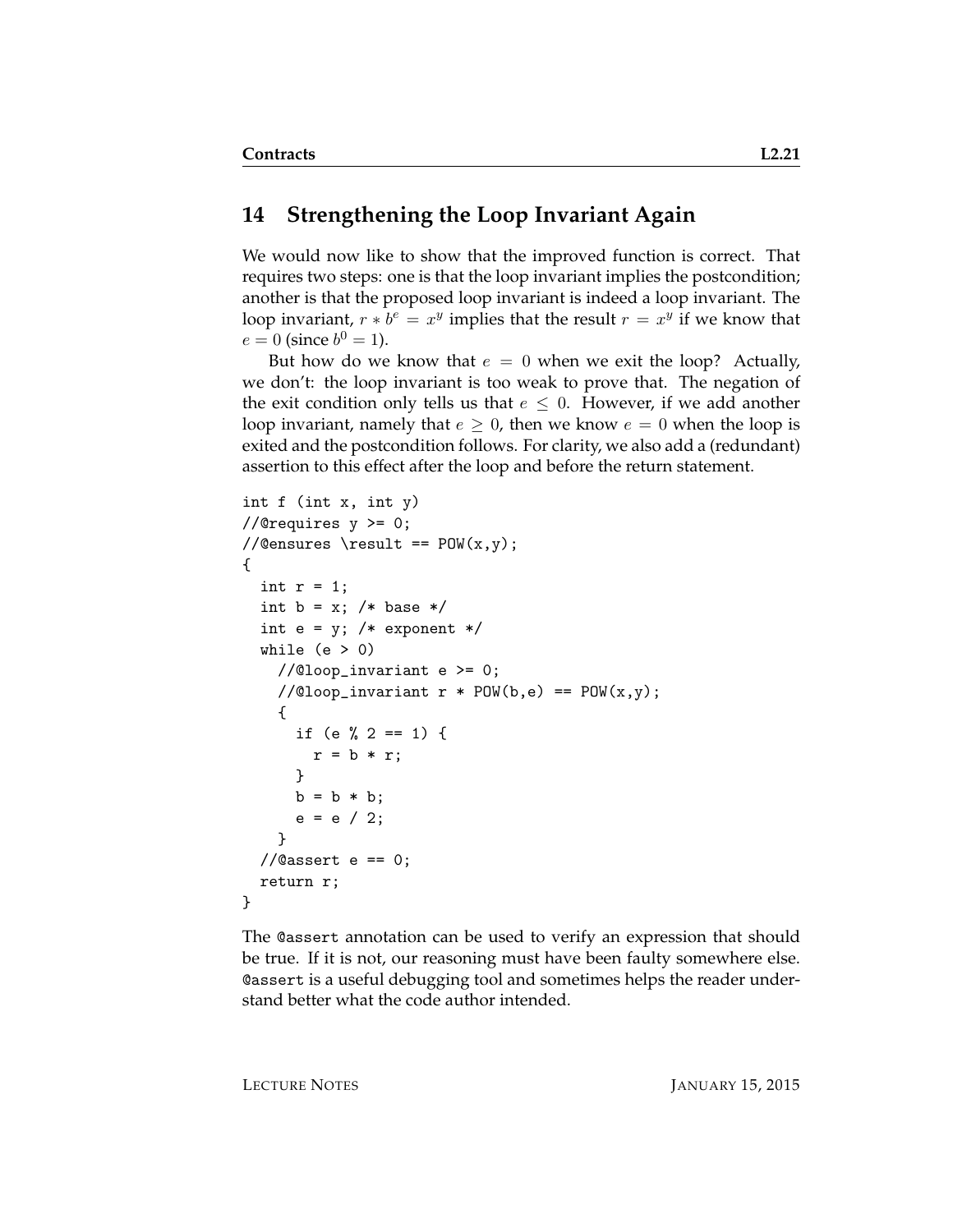#### **14 Strengthening the Loop Invariant Again**

We would now like to show that the improved function is correct. That requires two steps: one is that the loop invariant implies the postcondition; another is that the proposed loop invariant is indeed a loop invariant. The loop invariant,  $r * b^e = x^y$  implies that the result  $r = x^y$  if we know that  $e = 0$  (since  $b^0 = 1$ ).

But how do we know that  $e = 0$  when we exit the loop? Actually, we don't: the loop invariant is too weak to prove that. The negation of the exit condition only tells us that  $e \leq 0$ . However, if we add another loop invariant, namely that  $e \geq 0$ , then we know  $e = 0$  when the loop is exited and the postcondition follows. For clarity, we also add a (redundant) assertion to this effect after the loop and before the return statement.

```
int f (int x, int y)
//@requires y >= 0;
//@ensures \result == POW(x, y);
{
  int r = 1;
  int b = x; /* base */
  int e = y; /* exponent */
  while (e > 0)//@loop_invariant e >= 0;//@loop_invariant r * POW(b, e) == POW(x, y);{
      if (e \frac{9}{2} 2 == 1) {
        r = b * r;}
      b = b * b;e = e / 2;}
  //Qasser e == 0;
  return r;
}
```
The @assert annotation can be used to verify an expression that should be true. If it is not, our reasoning must have been faulty somewhere else. @assert is a useful debugging tool and sometimes helps the reader understand better what the code author intended.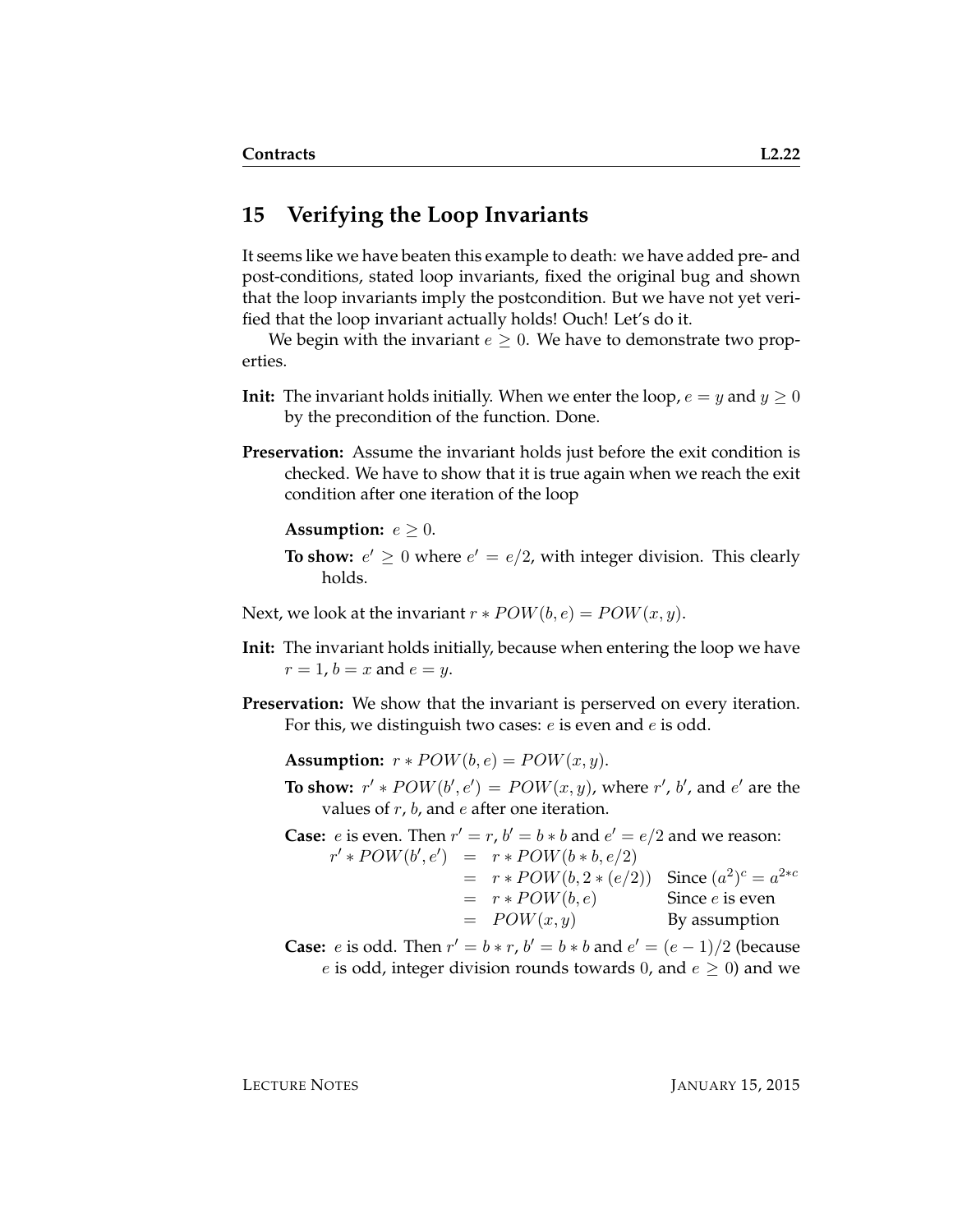#### **15 Verifying the Loop Invariants**

It seems like we have beaten this example to death: we have added pre- and post-conditions, stated loop invariants, fixed the original bug and shown that the loop invariants imply the postcondition. But we have not yet verified that the loop invariant actually holds! Ouch! Let's do it.

We begin with the invariant  $e \geq 0$ . We have to demonstrate two properties.

- **Init:** The invariant holds initially. When we enter the loop,  $e = y$  and  $y \ge 0$ by the precondition of the function. Done.
- **Preservation:** Assume the invariant holds just before the exit condition is checked. We have to show that it is true again when we reach the exit condition after one iteration of the loop

**Assumption:**  $e \geq 0$ .

**To show:**  $e' \geq 0$  where  $e' = e/2$ , with integer division. This clearly holds.

Next, we look at the invariant  $r * POW(b, e) = POW(x, y)$ .

- **Init:** The invariant holds initially, because when entering the loop we have  $r = 1$ ,  $b = x$  and  $e = y$ .
- **Preservation:** We show that the invariant is perserved on every iteration. For this, we distinguish two cases: e is even and e is odd.

**Assumption:**  $r * POW(b, e) = POW(x, y)$ .

**To show:**  $r' * POW(b', e') = POW(x, y)$ , where  $r'$ , b', and  $e'$  are the values of  $r$ ,  $b$ , and  $e$  after one iteration.

**Case:** *e* is even. Then  $r' = r$ ,  $b' = b * b$  and  $e' = e/2$  and we reason:  $r' * POW(b', e') = r * POW(b * b, e/2)$  $= r * POW(b, 2 * (e/2))$  Since  $(a^2)^c = a^{2 * c}$  $= r * POW(b, e)$  Since *e* is even  $= POW(x, y)$  By assumption

**Case:** *e* is odd. Then  $r' = b * r$ ,  $b' = b * b$  and  $e' = (e - 1)/2$  (because e is odd, integer division rounds towards 0, and  $e \ge 0$ ) and we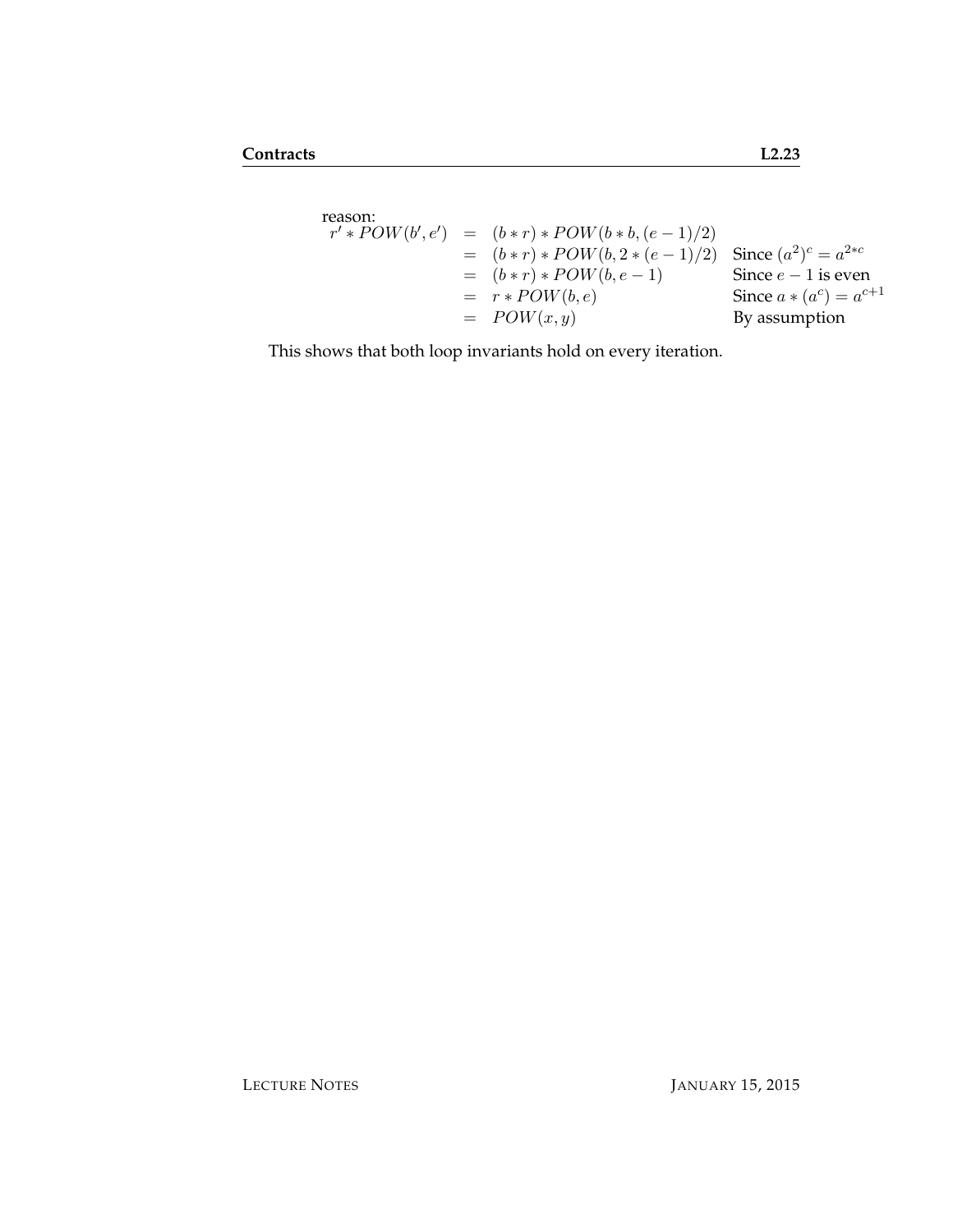$$
r' * POW(b', e') = (b * r) * POW(b * b, (e - 1)/2)
$$
  
= (b \* r) \* POW(b, 2 \* (e - 1)/2) Since (a<sup>2</sup>)<sup>c</sup> = a<sup>2</sup>\*c  
= (b \* r) \* POW(b, e - 1) Since e - 1 is even  
= r \* POW(b, e)  
= POW(x, y) By assumption

This shows that both loop invariants hold on every iteration.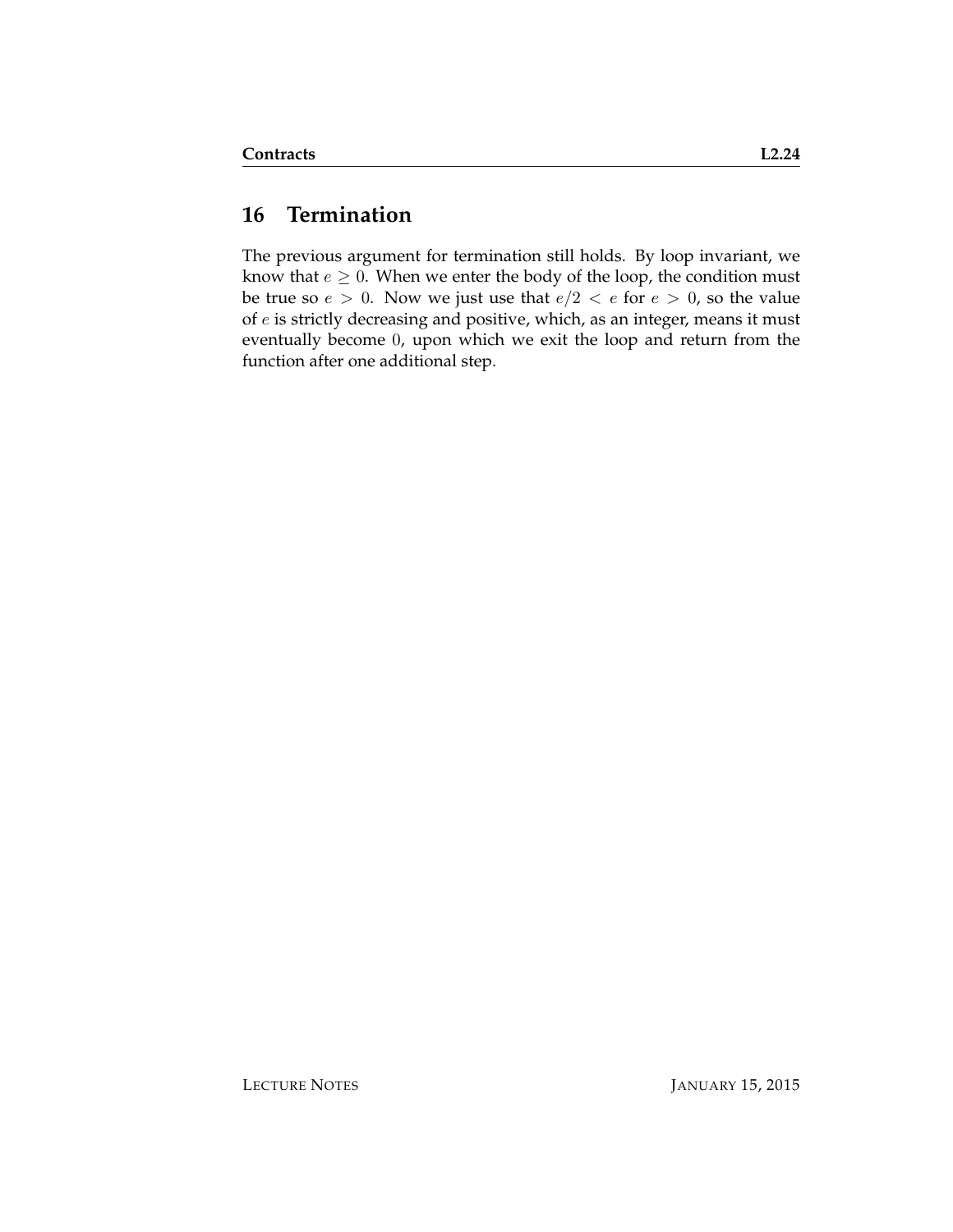### **16 Termination**

The previous argument for termination still holds. By loop invariant, we know that  $e \geq 0$ . When we enter the body of the loop, the condition must be true so  $e > 0$ . Now we just use that  $e/2 < e$  for  $e > 0$ , so the value of e is strictly decreasing and positive, which, as an integer, means it must eventually become 0, upon which we exit the loop and return from the function after one additional step.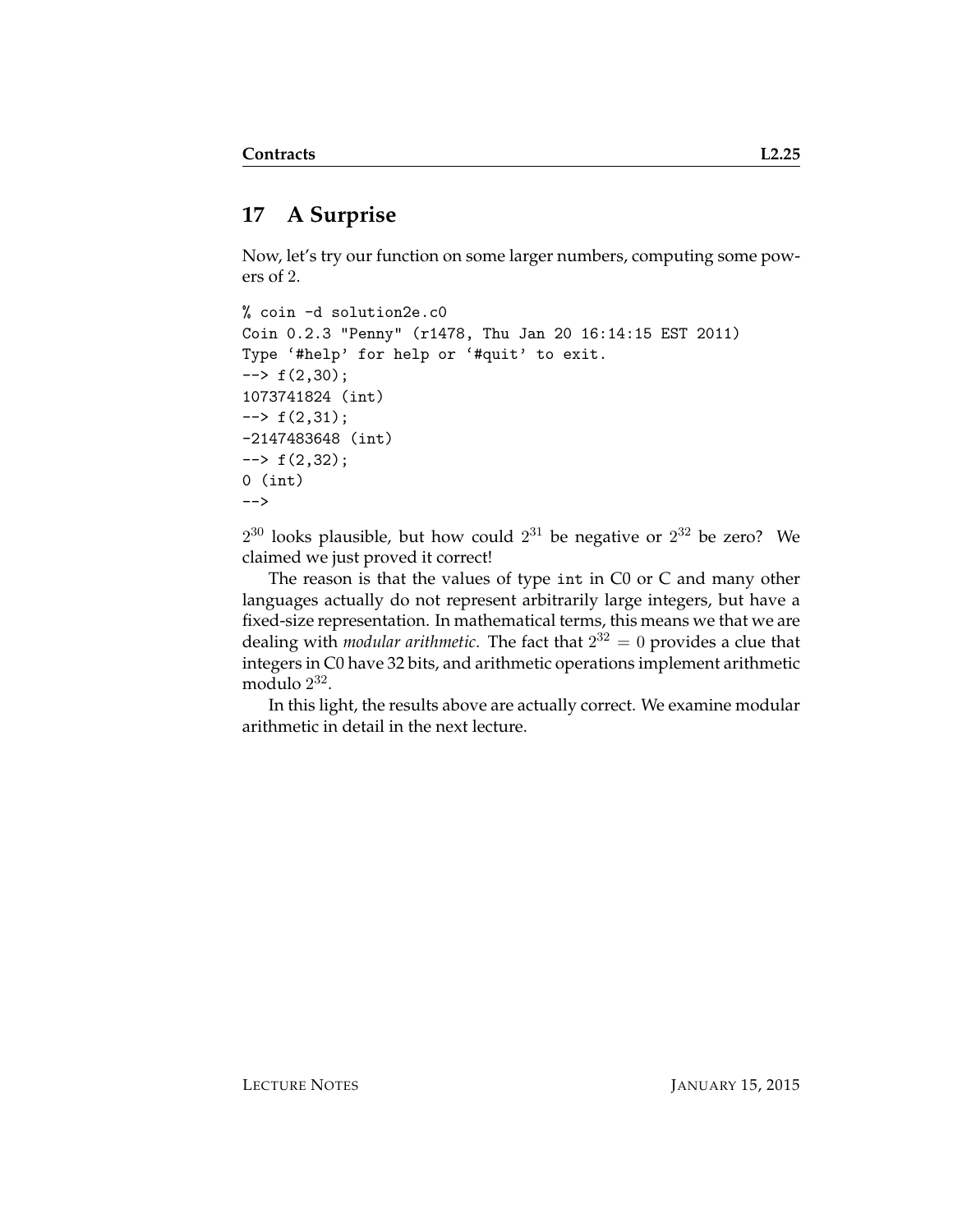# **17 A Surprise**

Now, let's try our function on some larger numbers, computing some powers of 2.

```
% coin -d solution2e.c0
Coin 0.2.3 "Penny" (r1478, Thu Jan 20 16:14:15 EST 2011)
Type '#help' for help or '#quit' to exit.
\leftarrow + f(2,30);
1073741824 (int)
\leftarrow \leftarrow f(2,31);
-2147483648 (int)
\leftarrow + f(2,32);
0 (int)
-->
```
 $2^{30}$  looks plausible, but how could  $2^{31}$  be negative or  $2^{32}$  be zero? We claimed we just proved it correct!

The reason is that the values of type int in C0 or C and many other languages actually do not represent arbitrarily large integers, but have a fixed-size representation. In mathematical terms, this means we that we are dealing with *modular arithmetic*. The fact that 2 <sup>32</sup> = 0 provides a clue that integers in C0 have 32 bits, and arithmetic operations implement arithmetic modulo 2 32 .

In this light, the results above are actually correct. We examine modular arithmetic in detail in the next lecture.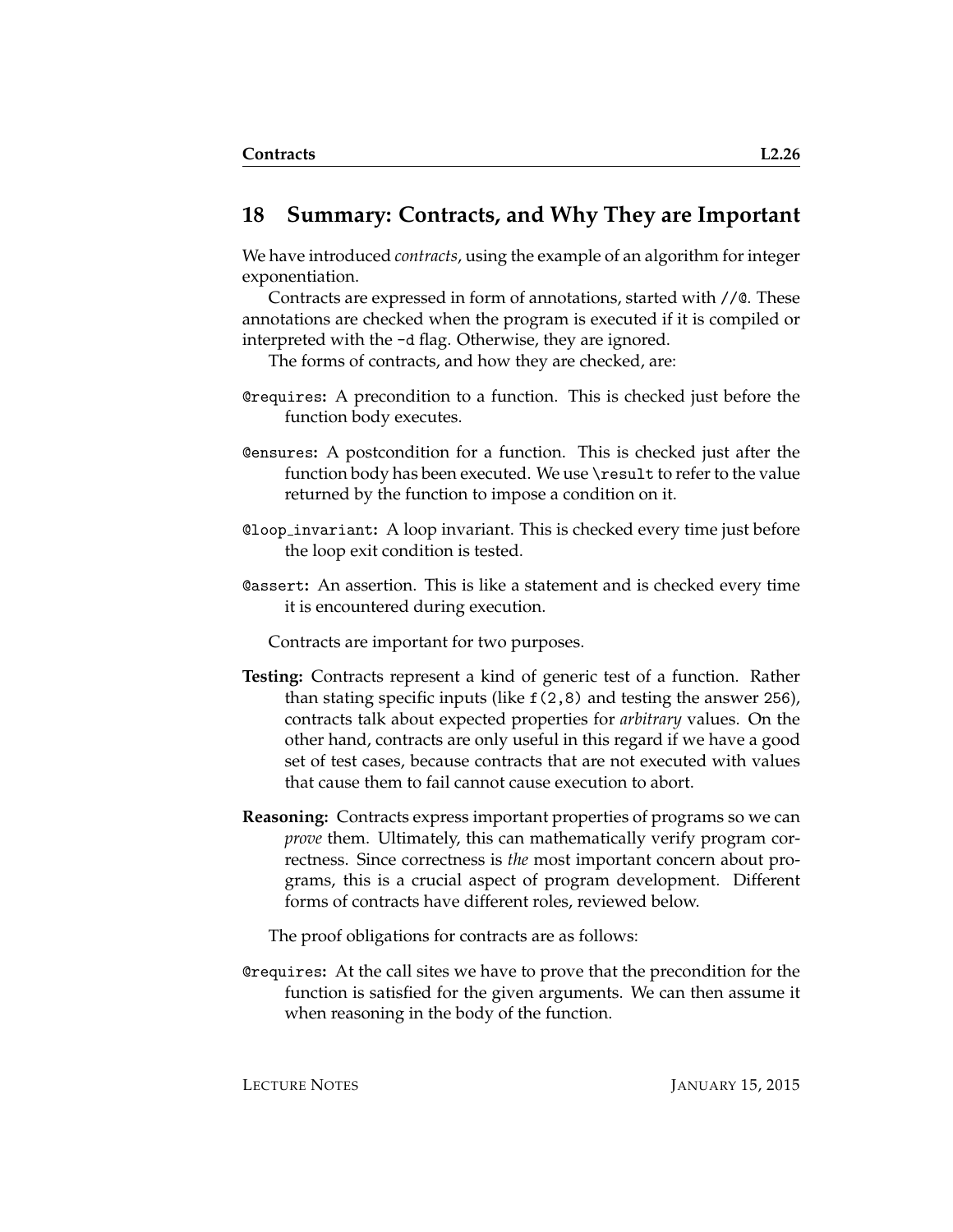#### **18 Summary: Contracts, and Why They are Important**

We have introduced *contracts*, using the example of an algorithm for integer exponentiation.

Contracts are expressed in form of annotations, started with //@. These annotations are checked when the program is executed if it is compiled or interpreted with the -d flag. Otherwise, they are ignored.

The forms of contracts, and how they are checked, are:

- @requires**:** A precondition to a function. This is checked just before the function body executes.
- @ensures**:** A postcondition for a function. This is checked just after the function body has been executed. We use \result to refer to the value returned by the function to impose a condition on it.
- @loop invariant**:** A loop invariant. This is checked every time just before the loop exit condition is tested.
- @assert**:** An assertion. This is like a statement and is checked every time it is encountered during execution.

Contracts are important for two purposes.

- **Testing:** Contracts represent a kind of generic test of a function. Rather than stating specific inputs (like f(2,8) and testing the answer 256), contracts talk about expected properties for *arbitrary* values. On the other hand, contracts are only useful in this regard if we have a good set of test cases, because contracts that are not executed with values that cause them to fail cannot cause execution to abort.
- **Reasoning:** Contracts express important properties of programs so we can *prove* them. Ultimately, this can mathematically verify program correctness. Since correctness is *the* most important concern about programs, this is a crucial aspect of program development. Different forms of contracts have different roles, reviewed below.

The proof obligations for contracts are as follows:

@requires**:** At the call sites we have to prove that the precondition for the function is satisfied for the given arguments. We can then assume it when reasoning in the body of the function.

LECTURE NOTES JANUARY 15, 2015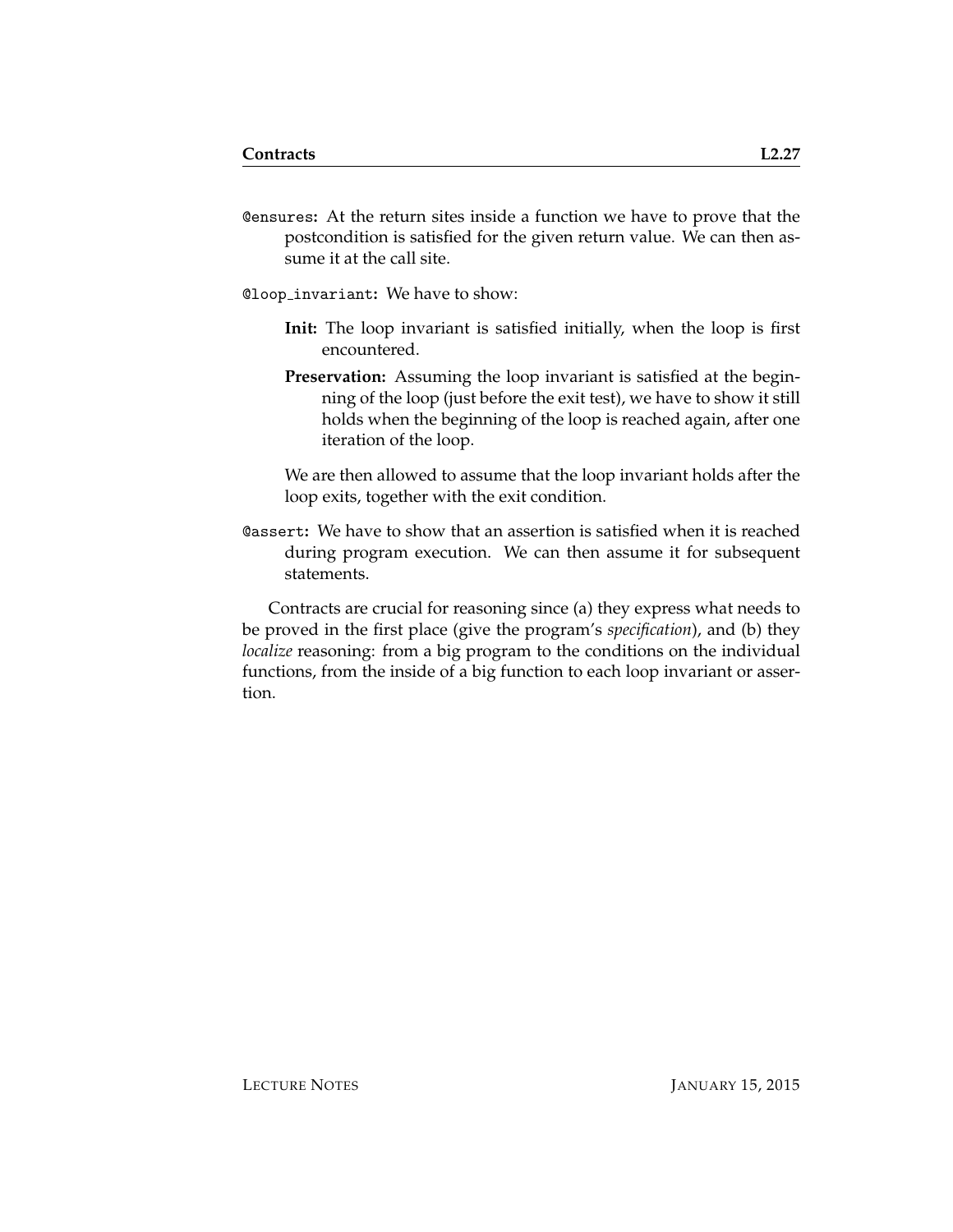@ensures**:** At the return sites inside a function we have to prove that the postcondition is satisfied for the given return value. We can then assume it at the call site.

@loop invariant**:** We have to show:

- **Init:** The loop invariant is satisfied initially, when the loop is first encountered.
- **Preservation:** Assuming the loop invariant is satisfied at the beginning of the loop (just before the exit test), we have to show it still holds when the beginning of the loop is reached again, after one iteration of the loop.

We are then allowed to assume that the loop invariant holds after the loop exits, together with the exit condition.

@assert**:** We have to show that an assertion is satisfied when it is reached during program execution. We can then assume it for subsequent statements.

Contracts are crucial for reasoning since (a) they express what needs to be proved in the first place (give the program's *specification*), and (b) they *localize* reasoning: from a big program to the conditions on the individual functions, from the inside of a big function to each loop invariant or assertion.